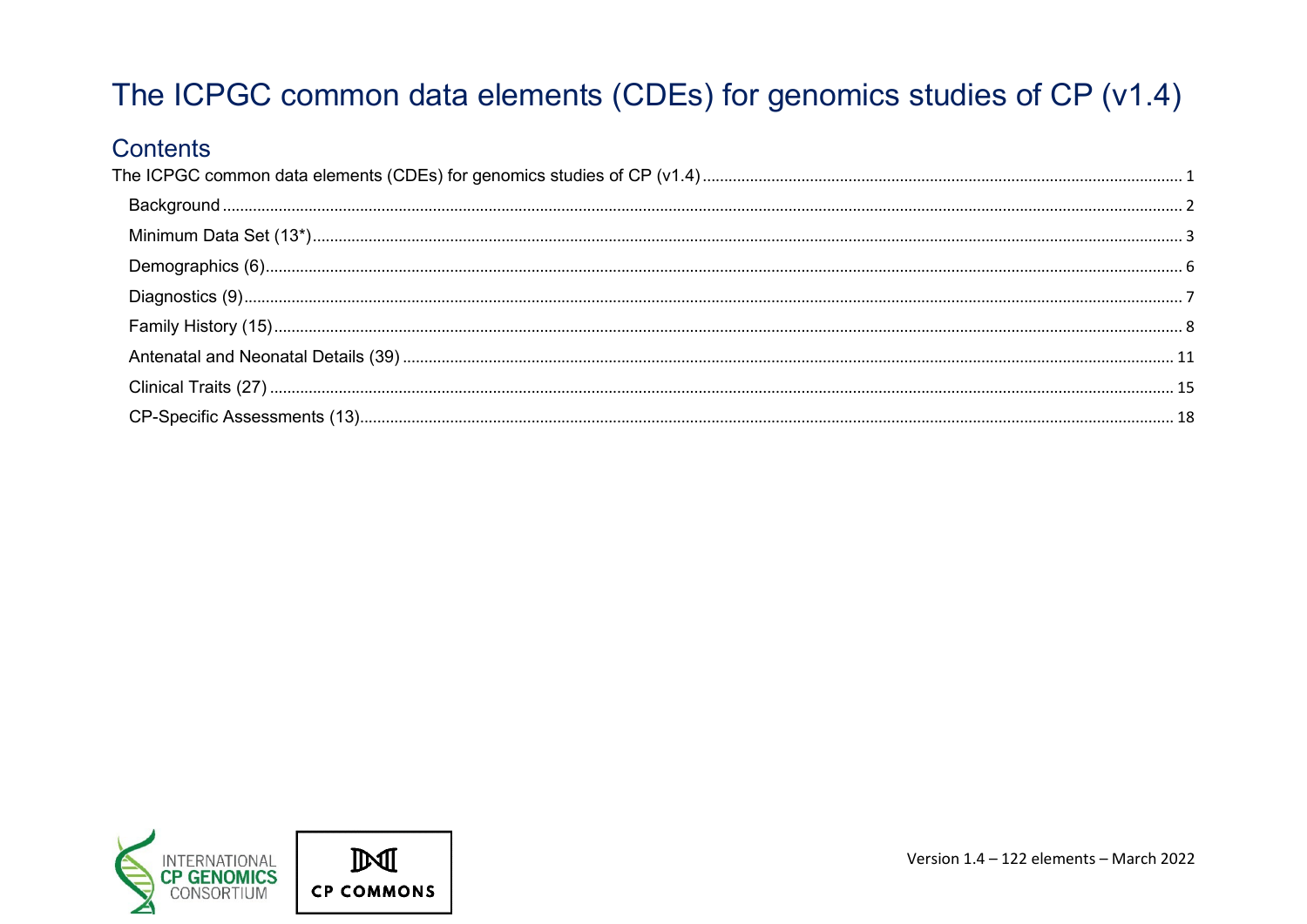# <span id="page-0-0"></span>The ICPGC common data elements (CDEs) for genomics studies of CP (v1.4)

#### **Contents**

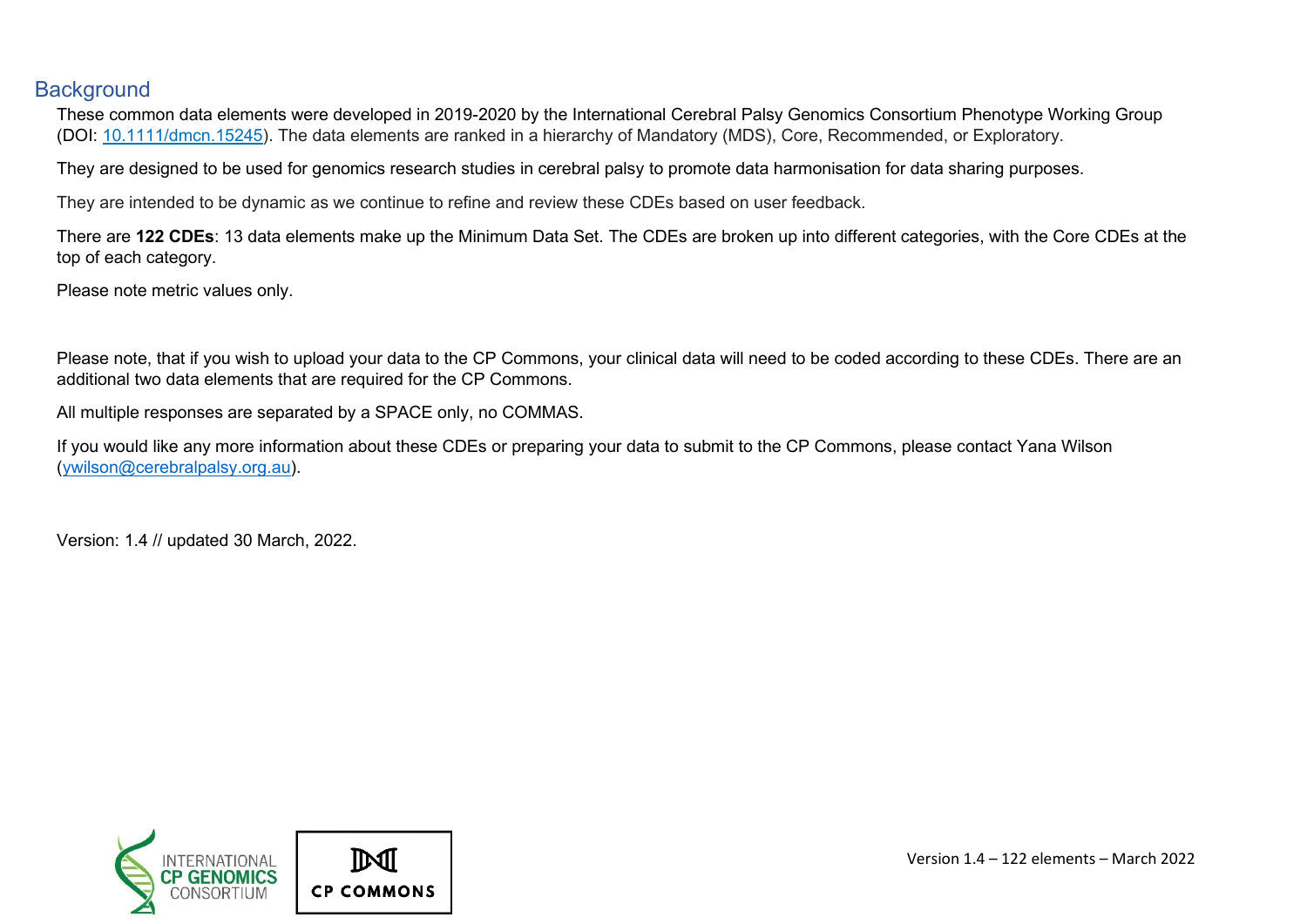#### <span id="page-1-0"></span>**Background**

These common data elements were developed in 2019-2020 by the International Cerebral Palsy Genomics Consortium Phenotype Working Group (DOI: [10.1111/dmcn.15245\)](https://doi.org/10.1111/dmcn.15245). The data elements are ranked in a hierarchy of Mandatory (MDS), Core, Recommended, or Exploratory.

They are designed to be used for genomics research studies in cerebral palsy to promote data harmonisation for data sharing purposes.

They are intended to be dynamic as we continue to refine and review these CDEs based on user feedback.

There are **122 CDEs**: 13 data elements make up the Minimum Data Set. The CDEs are broken up into different categories, with the Core CDEs at the top of each category.

Please note metric values only.

Please note, that if you wish to upload your data to the CP Commons, your clinical data will need to be coded according to these CDEs. There are an additional two data elements that are required for the CP Commons.

All multiple responses are separated by a SPACE only, no COMMAS.

If you would like any more information about these CDEs or preparing your data to submit to the CP Commons, please contact Yana Wilson [\(ywilson@cerebralpalsy.org.au\)](mailto:ywilson@cerebralpalsy.org.au).

Version: 1.4 // updated 30 March, 2022.

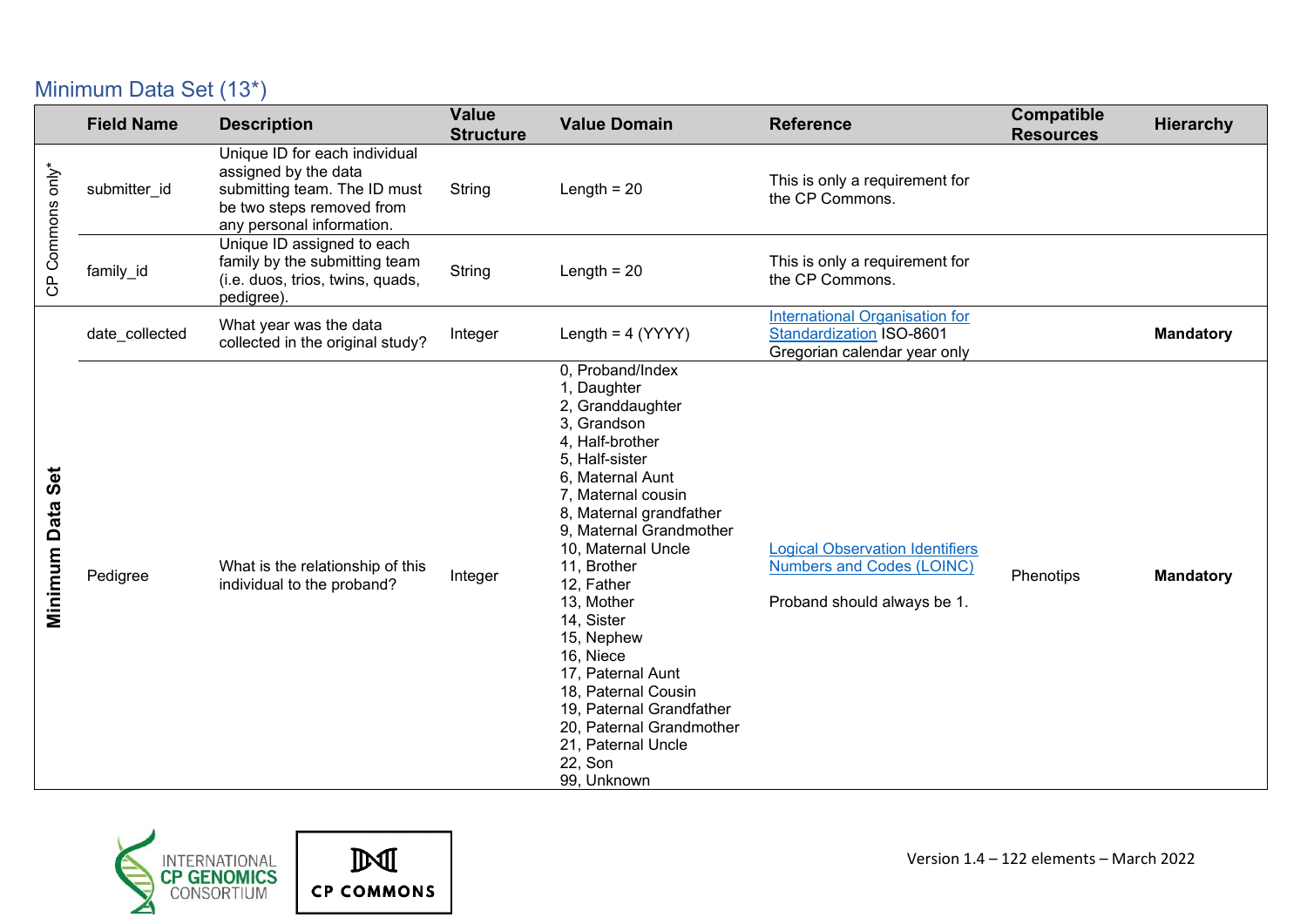### <span id="page-2-0"></span>Minimum Data Set (13\*)

|                     | <b>Field Name</b> | <b>Description</b>                                                                                                                              | <b>Value</b><br><b>Structure</b> | <b>Value Domain</b>                                                                                                                                                                                                                                                                                                                                                                                                                                                   | <b>Reference</b>                                                                                          | <b>Compatible</b><br><b>Resources</b> | <b>Hierarchy</b> |
|---------------------|-------------------|-------------------------------------------------------------------------------------------------------------------------------------------------|----------------------------------|-----------------------------------------------------------------------------------------------------------------------------------------------------------------------------------------------------------------------------------------------------------------------------------------------------------------------------------------------------------------------------------------------------------------------------------------------------------------------|-----------------------------------------------------------------------------------------------------------|---------------------------------------|------------------|
| CP Commons only*    | submitter_id      | Unique ID for each individual<br>assigned by the data<br>submitting team. The ID must<br>be two steps removed from<br>any personal information. | String                           | Length $= 20$                                                                                                                                                                                                                                                                                                                                                                                                                                                         | This is only a requirement for<br>the CP Commons.                                                         |                                       |                  |
|                     | family_id         | Unique ID assigned to each<br>family by the submitting team<br>(i.e. duos, trios, twins, quads,<br>pedigree).                                   | String                           | Length $= 20$                                                                                                                                                                                                                                                                                                                                                                                                                                                         | This is only a requirement for<br>the CP Commons.                                                         |                                       |                  |
|                     | date_collected    | What year was the data<br>collected in the original study?                                                                                      | Integer                          | Length = $4 (YYYY)$                                                                                                                                                                                                                                                                                                                                                                                                                                                   | <b>International Organisation for</b><br><b>Standardization ISO-8601</b><br>Gregorian calendar year only  |                                       | <b>Mandatory</b> |
| Set<br>Minimum Data | Pedigree          | What is the relationship of this<br>individual to the proband?                                                                                  | Integer                          | 0, Proband/Index<br>1, Daughter<br>2, Granddaughter<br>3. Grandson<br>4. Half-brother<br>5, Half-sister<br>6, Maternal Aunt<br>7, Maternal cousin<br>8, Maternal grandfather<br>9. Maternal Grandmother<br>10, Maternal Uncle<br>11, Brother<br>12, Father<br>13, Mother<br>14, Sister<br>15, Nephew<br>16, Niece<br>17, Paternal Aunt<br>18, Paternal Cousin<br>19, Paternal Grandfather<br>20, Paternal Grandmother<br>21, Paternal Uncle<br>22, Son<br>99, Unknown | <b>Logical Observation Identifiers</b><br><b>Numbers and Codes (LOINC)</b><br>Proband should always be 1. | Phenotips                             | <b>Mandatory</b> |



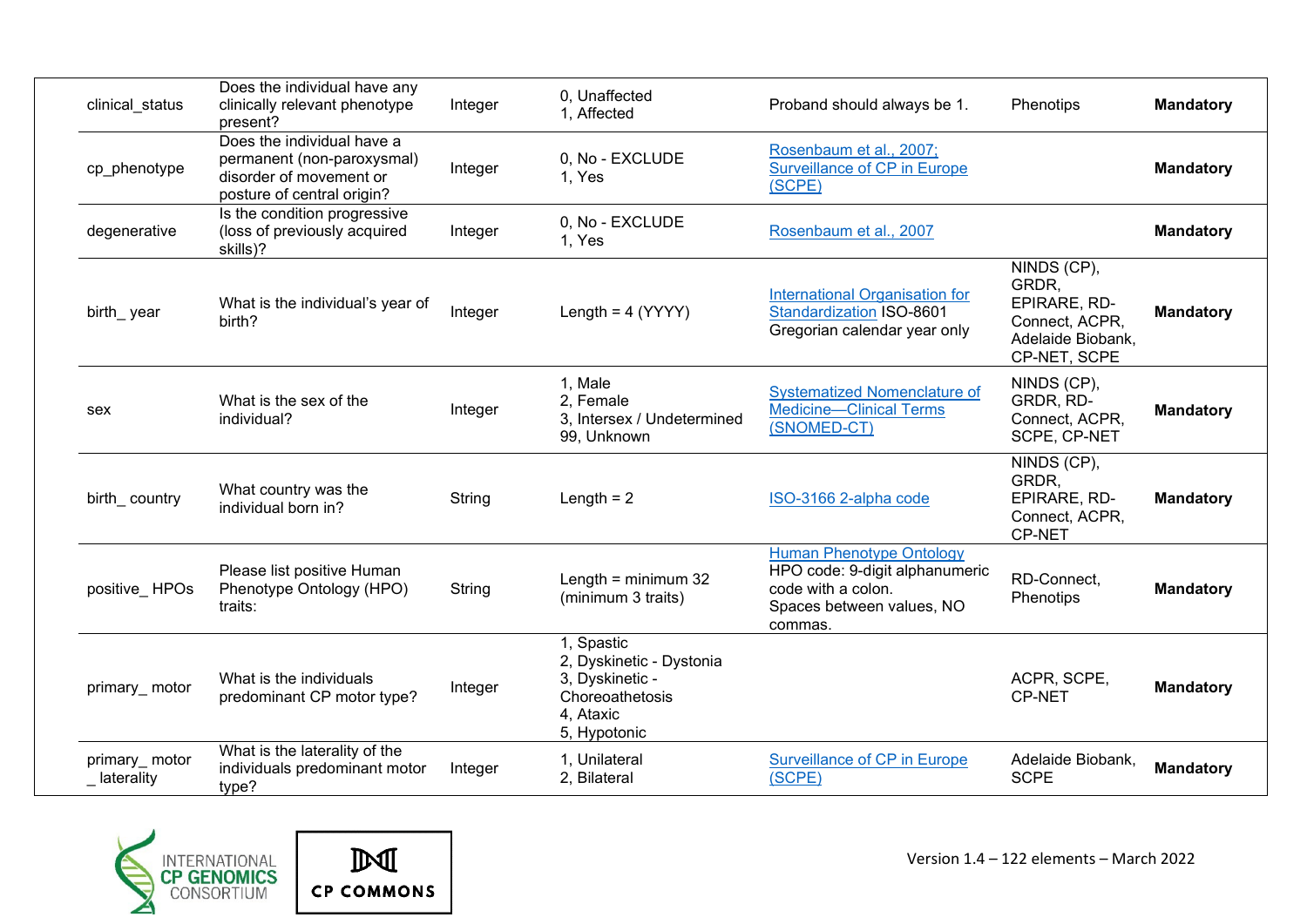|                              | Does the individual have any                                                                                      |         |                                                                                                           |                                                                                                                                 |                                                                                             |                  |
|------------------------------|-------------------------------------------------------------------------------------------------------------------|---------|-----------------------------------------------------------------------------------------------------------|---------------------------------------------------------------------------------------------------------------------------------|---------------------------------------------------------------------------------------------|------------------|
| clinical_status              | clinically relevant phenotype<br>present?                                                                         | Integer | 0. Unaffected<br>1. Affected                                                                              | Proband should always be 1.                                                                                                     | Phenotips                                                                                   | <b>Mandatory</b> |
| cp_phenotype                 | Does the individual have a<br>permanent (non-paroxysmal)<br>disorder of movement or<br>posture of central origin? | Integer | 0, No - EXCLUDE<br>1. Yes                                                                                 | Rosenbaum et al., 2007;<br><b>Surveillance of CP in Europe</b><br>(SCPE)                                                        |                                                                                             | <b>Mandatory</b> |
| degenerative                 | Is the condition progressive<br>(loss of previously acquired<br>skills)?                                          | Integer | 0, No - EXCLUDE<br>1, Yes                                                                                 | Rosenbaum et al., 2007                                                                                                          |                                                                                             | <b>Mandatory</b> |
| birth_year                   | What is the individual's year of<br>birth?                                                                        | Integer | Length = $4 (YYYY)$                                                                                       | <b>International Organisation for</b><br><b>Standardization ISO-8601</b><br>Gregorian calendar year only                        | NINDS (CP),<br>GRDR.<br>EPIRARE, RD-<br>Connect, ACPR,<br>Adelaide Biobank,<br>CP-NET, SCPE | <b>Mandatory</b> |
| sex                          | What is the sex of the<br>individual?                                                                             | Integer | 1, Male<br>2, Female<br>3, Intersex / Undetermined<br>99, Unknown                                         | <b>Systematized Nomenclature of</b><br><b>Medicine-Clinical Terms</b><br>(SNOMED-CT)                                            | NINDS (CP),<br>GRDR, RD-<br>Connect, ACPR,<br>SCPE, CP-NET                                  | <b>Mandatory</b> |
| birth_country                | What country was the<br>individual born in?                                                                       | String  | Length $= 2$                                                                                              | ISO-3166 2-alpha code                                                                                                           | NINDS (CP),<br>GRDR,<br>EPIRARE, RD-<br>Connect, ACPR,<br>CP-NET                            | <b>Mandatory</b> |
| positive_HPOs                | Please list positive Human<br>Phenotype Ontology (HPO)<br>traits:                                                 | String  | Length = $minimum 32$<br>(minimum 3 traits)                                                               | <b>Human Phenotype Ontology</b><br>HPO code: 9-digit alphanumeric<br>code with a colon.<br>Spaces between values, NO<br>commas. | RD-Connect,<br>Phenotips                                                                    | <b>Mandatory</b> |
| primary_motor                | What is the individuals<br>predominant CP motor type?                                                             | Integer | 1, Spastic<br>2, Dyskinetic - Dystonia<br>3, Dyskinetic -<br>Choreoathetosis<br>4, Ataxic<br>5, Hypotonic |                                                                                                                                 | ACPR, SCPE,<br><b>CP-NET</b>                                                                | <b>Mandatory</b> |
| primary_motor<br>_laterality | What is the laterality of the<br>individuals predominant motor<br>type?                                           | Integer | 1. Unilateral<br>2, Bilateral                                                                             | <b>Surveillance of CP in Europe</b><br>(SCPE)                                                                                   | Adelaide Biobank,<br><b>SCPE</b>                                                            | <b>Mandatory</b> |



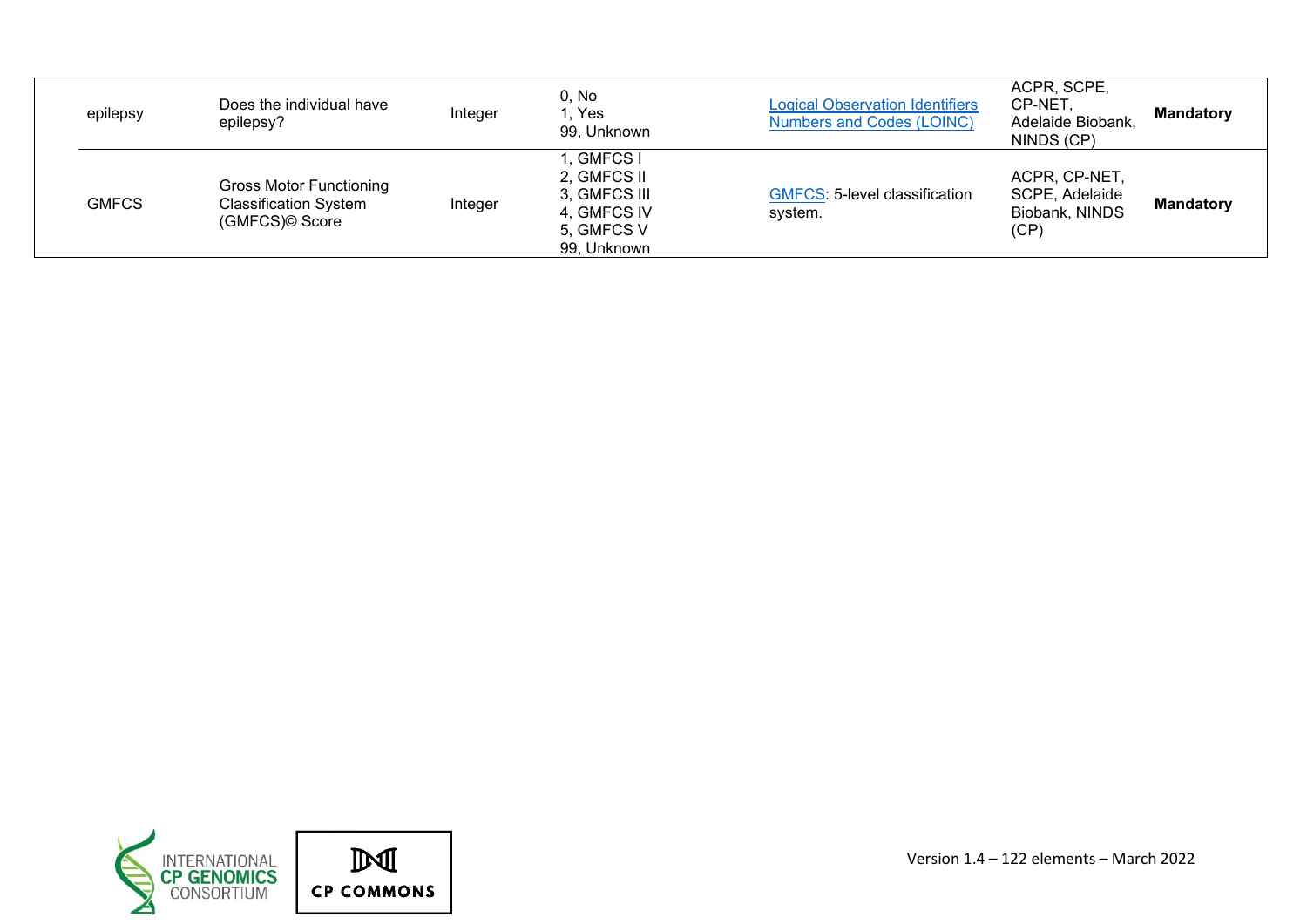<span id="page-4-0"></span>

| epilepsy     | Does the individual have<br>epilepsy?                                            | Integer | 0, No<br>. Yes<br>99, Unknown                                                         | <b>Logical Observation Identifiers</b><br><b>Numbers and Codes (LOINC)</b> | ACPR, SCPE,<br>CP-NET.<br>Adelaide Biobank,<br>NINDS (CP) | <b>Mandatory</b> |
|--------------|----------------------------------------------------------------------------------|---------|---------------------------------------------------------------------------------------|----------------------------------------------------------------------------|-----------------------------------------------------------|------------------|
| <b>GMFCS</b> | <b>Gross Motor Functioning</b><br><b>Classification System</b><br>(GMFCS)© Score | Integer | I, GMFCS I<br>2, GMFCS II<br>3, GMFCS III<br>4, GMFCS IV<br>5, GMFCS V<br>99, Unknown | <b>GMFCS: 5-level classification</b><br>system.                            | ACPR, CP-NET,<br>SCPE, Adelaide<br>Biobank, NINDS<br>(CP) | <b>Mandatory</b> |



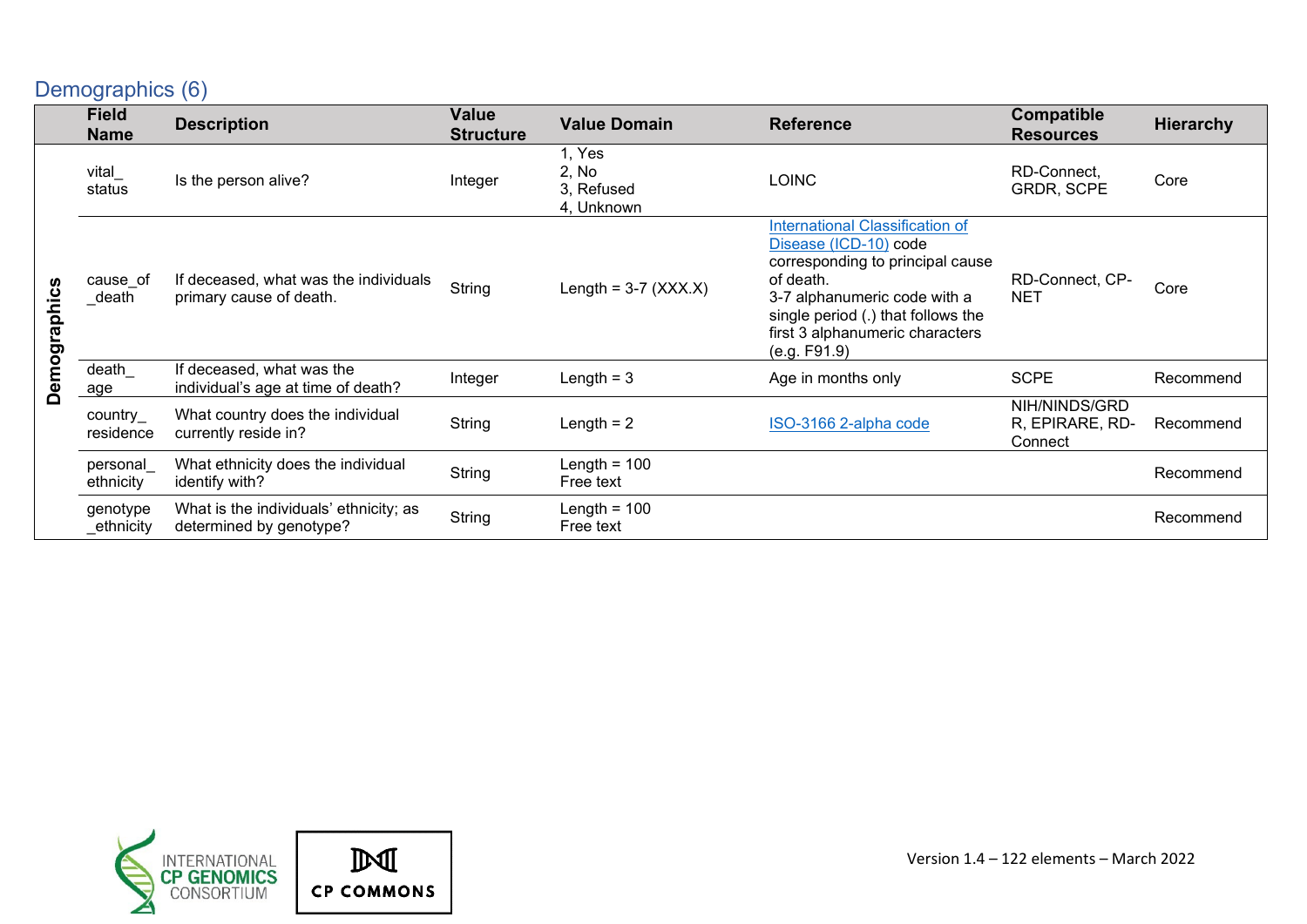### Demographics (6)

|              | <b>Field</b><br><b>Name</b> | <b>Description</b>                                                | <b>Value</b><br><b>Structure</b> | <b>Value Domain</b>                         | <b>Reference</b>                                                                                                                                                                                                                   | Compatible<br><b>Resources</b>              | <b>Hierarchy</b> |
|--------------|-----------------------------|-------------------------------------------------------------------|----------------------------------|---------------------------------------------|------------------------------------------------------------------------------------------------------------------------------------------------------------------------------------------------------------------------------------|---------------------------------------------|------------------|
|              | vital_<br>status            | Is the person alive?                                              | Integer                          | 1, Yes<br>2, No<br>3, Refused<br>4, Unknown | <b>LOINC</b>                                                                                                                                                                                                                       | RD-Connect,<br><b>GRDR, SCPE</b>            | Core             |
| Demographics | cause of<br>_death          | If deceased, what was the individuals<br>primary cause of death.  | String                           | Length = $3-7$ (XXX.X)                      | International Classification of<br>Disease (ICD-10) code<br>corresponding to principal cause<br>of death.<br>3-7 alphanumeric code with a<br>single period (.) that follows the<br>first 3 alphanumeric characters<br>(e.g. F91.9) | RD-Connect, CP-<br><b>NET</b>               | Core             |
|              | death<br>age                | If deceased, what was the<br>individual's age at time of death?   | Integer                          | Length $=$ 3                                | Age in months only                                                                                                                                                                                                                 | <b>SCPE</b>                                 | Recommend        |
|              | country_<br>residence       | What country does the individual<br>currently reside in?          | String                           | Length $= 2$                                | ISO-3166 2-alpha code                                                                                                                                                                                                              | NIH/NINDS/GRD<br>R, EPIRARE, RD-<br>Connect | Recommend        |
|              | personal<br>ethnicity       | What ethnicity does the individual<br>identify with?              | String                           | Length = $100$<br>Free text                 |                                                                                                                                                                                                                                    |                                             | Recommend        |
|              | genotype<br>_ethnicity      | What is the individuals' ethnicity; as<br>determined by genotype? | String                           | Length = $100$<br>Free text                 |                                                                                                                                                                                                                                    |                                             | Recommend        |

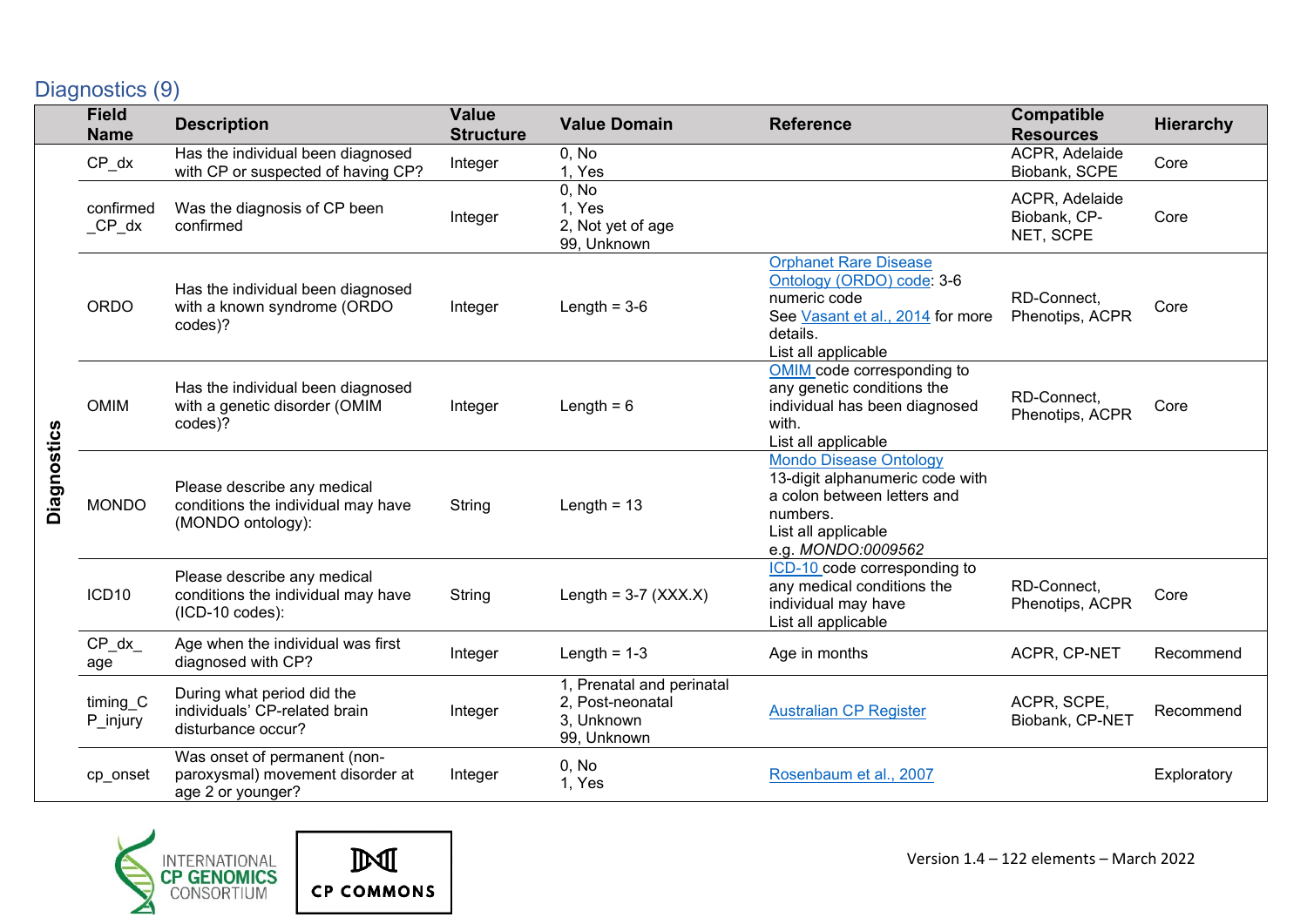# <span id="page-6-0"></span>Diagnostics (9)

|             | <b>Field</b><br><b>Name</b> | <b>Description</b>                                                                     | <b>Value</b><br><b>Structure</b> | <b>Value Domain</b>                                                        | <b>Reference</b>                                                                                                                                         | <b>Compatible</b><br><b>Resources</b>       | <b>Hierarchy</b> |
|-------------|-----------------------------|----------------------------------------------------------------------------------------|----------------------------------|----------------------------------------------------------------------------|----------------------------------------------------------------------------------------------------------------------------------------------------------|---------------------------------------------|------------------|
|             | $CP_dx$                     | Has the individual been diagnosed<br>with CP or suspected of having CP?                | Integer                          | 0, No<br>1, Yes                                                            |                                                                                                                                                          | ACPR, Adelaide<br>Biobank, SCPE             | Core             |
|             | confirmed<br>$_CP_dx$       | Was the diagnosis of CP been<br>confirmed                                              | Integer                          | 0, No<br>1, Yes<br>2, Not yet of age<br>99, Unknown                        |                                                                                                                                                          | ACPR, Adelaide<br>Biobank, CP-<br>NET, SCPE | Core             |
|             | <b>ORDO</b>                 | Has the individual been diagnosed<br>with a known syndrome (ORDO<br>codes)?            | Integer                          | Length = $3-6$                                                             | <b>Orphanet Rare Disease</b><br>Ontology (ORDO) code: 3-6<br>numeric code<br>See Vasant et al., 2014 for more<br>details.<br>List all applicable         | RD-Connect,<br>Phenotips, ACPR              | Core             |
|             | <b>OMIM</b>                 | Has the individual been diagnosed<br>with a genetic disorder (OMIM<br>codes)?          | Integer                          | Length = $6$                                                               | OMIM code corresponding to<br>any genetic conditions the<br>individual has been diagnosed<br>with.<br>List all applicable                                | RD-Connect,<br>Phenotips, ACPR              | Core             |
| Diagnostics | <b>MONDO</b>                | Please describe any medical<br>conditions the individual may have<br>(MONDO ontology): | String                           | Length = $13$                                                              | <b>Mondo Disease Ontology</b><br>13-digit alphanumeric code with<br>a colon between letters and<br>numbers.<br>List all applicable<br>e.g. MONDO:0009562 |                                             |                  |
|             | ICD <sub>10</sub>           | Please describe any medical<br>conditions the individual may have<br>$(ICD-10 codes):$ | String                           | Length = $3-7$ (XXX.X)                                                     | ICD-10 code corresponding to<br>any medical conditions the<br>individual may have<br>List all applicable                                                 | RD-Connect,<br>Phenotips, ACPR              | Core             |
|             | $CP_dx$<br>age              | Age when the individual was first<br>diagnosed with CP?                                | Integer                          | Length = $1-3$                                                             | Age in months                                                                                                                                            | ACPR, CP-NET                                | Recommend        |
|             | timing_C<br>P_injury        | During what period did the<br>individuals' CP-related brain<br>disturbance occur?      | Integer                          | 1, Prenatal and perinatal<br>2, Post-neonatal<br>3, Unknown<br>99, Unknown | <b>Australian CP Register</b>                                                                                                                            | ACPR, SCPE,<br>Biobank, CP-NET              | Recommend        |
|             | cp_onset                    | Was onset of permanent (non-<br>paroxysmal) movement disorder at<br>age 2 or younger?  | Integer                          | 0, No<br>1, Yes                                                            | Rosenbaum et al., 2007                                                                                                                                   |                                             | Exploratory      |



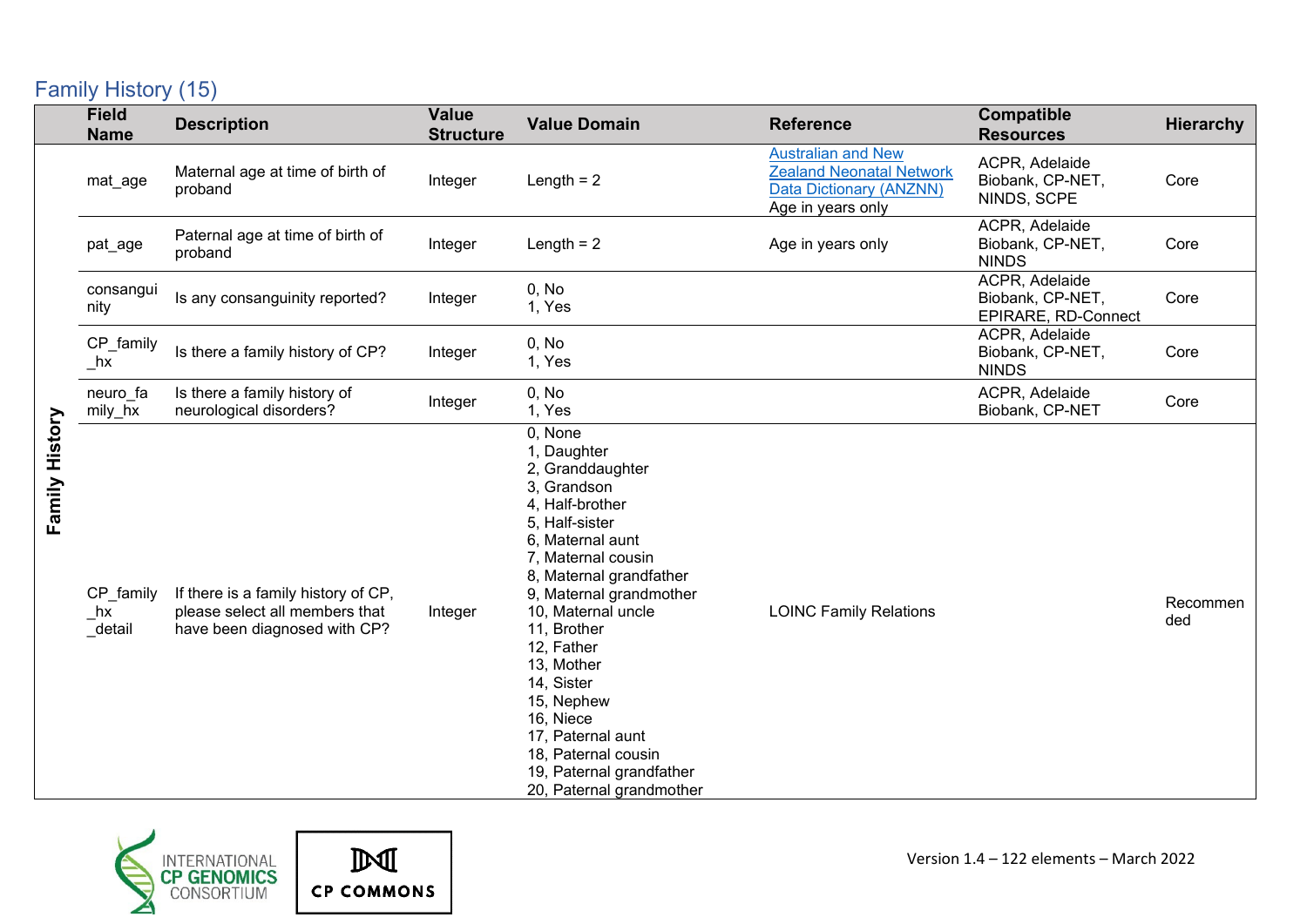### <span id="page-7-0"></span>Family History (15)

|                | <b>Field</b><br><b>Name</b>              | <b>Description</b>                                                                                    | <b>Value</b><br><b>Structure</b> | <b>Value Domain</b>                                                                                                                                                                                                                                                                                                                                                                                          | <b>Reference</b>                                                                                             | Compatible<br><b>Resources</b>                            | <b>Hierarchy</b> |
|----------------|------------------------------------------|-------------------------------------------------------------------------------------------------------|----------------------------------|--------------------------------------------------------------------------------------------------------------------------------------------------------------------------------------------------------------------------------------------------------------------------------------------------------------------------------------------------------------------------------------------------------------|--------------------------------------------------------------------------------------------------------------|-----------------------------------------------------------|------------------|
|                | mat_age                                  | Maternal age at time of birth of<br>proband                                                           | Integer                          | Length $= 2$                                                                                                                                                                                                                                                                                                                                                                                                 | <b>Australian and New</b><br><b>Zealand Neonatal Network</b><br>Data Dictionary (ANZNN)<br>Age in years only | ACPR, Adelaide<br>Biobank, CP-NET,<br>NINDS, SCPE         | Core             |
|                | pat_age                                  | Paternal age at time of birth of<br>proband                                                           | Integer                          | Length $= 2$                                                                                                                                                                                                                                                                                                                                                                                                 | Age in years only                                                                                            | ACPR, Adelaide<br>Biobank, CP-NET,<br><b>NINDS</b>        | Core             |
|                | consangui<br>nity                        | Is any consanguinity reported?                                                                        | Integer                          | 0, No<br>1, Yes                                                                                                                                                                                                                                                                                                                                                                                              |                                                                                                              | ACPR, Adelaide<br>Biobank, CP-NET,<br>EPIRARE, RD-Connect | Core             |
|                | CP_family<br>$\overline{\phantom{a}}$ hx | Is there a family history of CP?                                                                      | Integer                          | 0, No<br>1, Yes                                                                                                                                                                                                                                                                                                                                                                                              |                                                                                                              | ACPR, Adelaide<br>Biobank, CP-NET,<br><b>NINDS</b>        | Core             |
|                | neuro fa<br>$mily_hx$                    | Is there a family history of<br>neurological disorders?                                               | Integer                          | 0, No<br>1, Yes                                                                                                                                                                                                                                                                                                                                                                                              |                                                                                                              | ACPR, Adelaide<br>Biobank, CP-NET                         | Core             |
| Family History | CP_family<br>hx<br>_detail               | If there is a family history of CP,<br>please select all members that<br>have been diagnosed with CP? | Integer                          | 0, None<br>1, Daughter<br>2, Granddaughter<br>3, Grandson<br>4, Half-brother<br>5, Half-sister<br>6, Maternal aunt<br>7, Maternal cousin<br>8, Maternal grandfather<br>9, Maternal grandmother<br>10, Maternal uncle<br>11, Brother<br>12, Father<br>13, Mother<br>14, Sister<br>15, Nephew<br>16, Niece<br>17, Paternal aunt<br>18, Paternal cousin<br>19, Paternal grandfather<br>20, Paternal grandmother | <b>LOINC Family Relations</b>                                                                                |                                                           | Recommen<br>ded  |



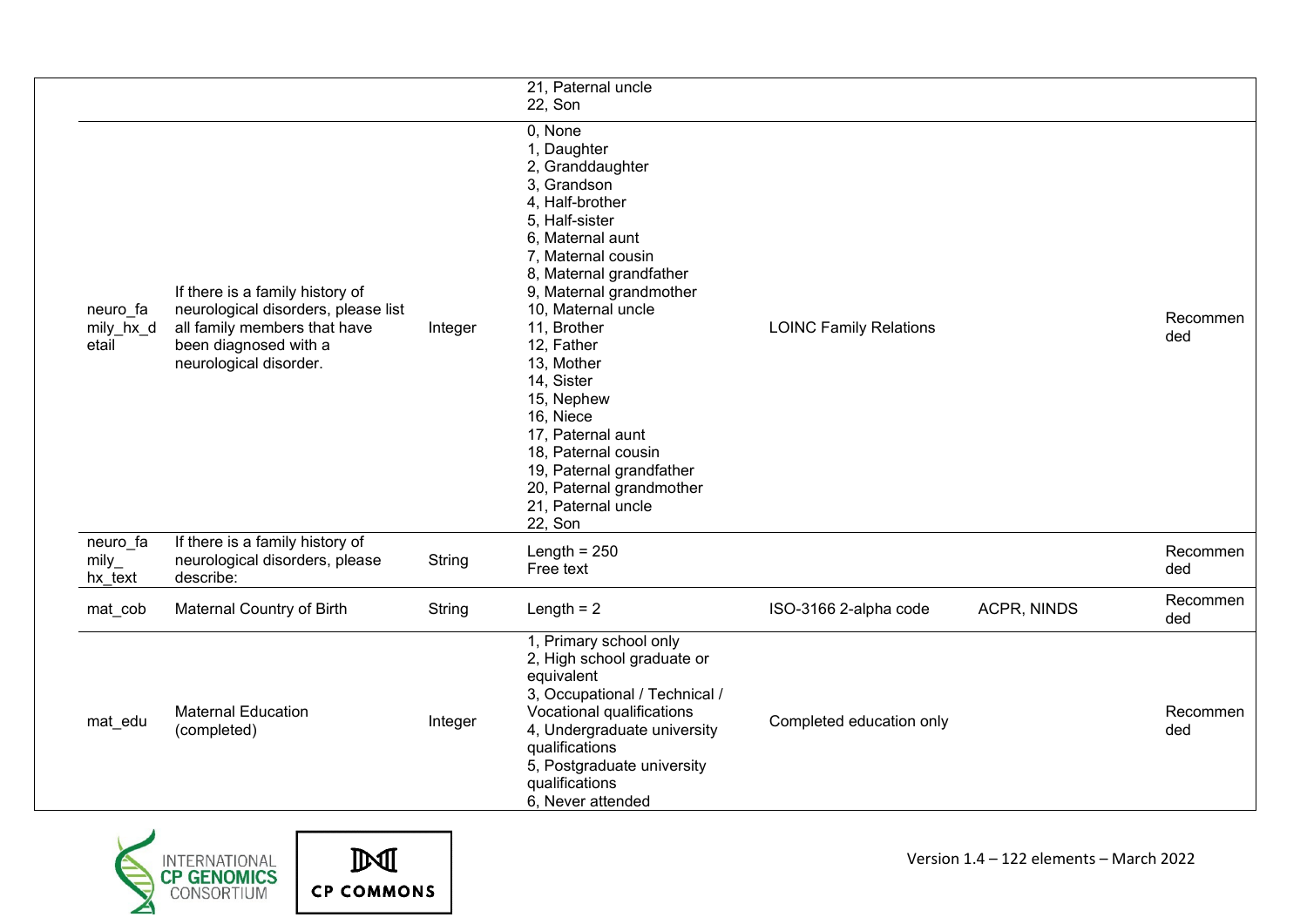|                                |                                                                                                                                                           |         | 21, Paternal uncle<br>22, Son                                                                                                                                                                                                                                                                                                                                                                                                                 |                               |             |                 |
|--------------------------------|-----------------------------------------------------------------------------------------------------------------------------------------------------------|---------|-----------------------------------------------------------------------------------------------------------------------------------------------------------------------------------------------------------------------------------------------------------------------------------------------------------------------------------------------------------------------------------------------------------------------------------------------|-------------------------------|-------------|-----------------|
| neuro_fa<br>mily_hx_d<br>etail | If there is a family history of<br>neurological disorders, please list<br>all family members that have<br>been diagnosed with a<br>neurological disorder. | Integer | 0, None<br>1, Daughter<br>2, Granddaughter<br>3, Grandson<br>4, Half-brother<br>5, Half-sister<br>6, Maternal aunt<br>7, Maternal cousin<br>8, Maternal grandfather<br>9, Maternal grandmother<br>10, Maternal uncle<br>11, Brother<br>12, Father<br>13, Mother<br>14, Sister<br>15, Nephew<br>16, Niece<br>17, Paternal aunt<br>18, Paternal cousin<br>19, Paternal grandfather<br>20, Paternal grandmother<br>21, Paternal uncle<br>22, Son | <b>LOINC Family Relations</b> |             | Recommen<br>ded |
| neuro_fa<br>mily<br>hx text    | If there is a family history of<br>neurological disorders, please<br>describe:                                                                            | String  | Length = $250$<br>Free text                                                                                                                                                                                                                                                                                                                                                                                                                   |                               |             | Recommen<br>ded |
| mat_cob                        | Maternal Country of Birth                                                                                                                                 | String  | Length $= 2$                                                                                                                                                                                                                                                                                                                                                                                                                                  | ISO-3166 2-alpha code         | ACPR, NINDS | Recommen<br>ded |
| mat_edu                        | <b>Maternal Education</b><br>(completed)                                                                                                                  | Integer | 1, Primary school only<br>2, High school graduate or<br>equivalent<br>3, Occupational / Technical /<br>Vocational qualifications<br>4, Undergraduate university<br>qualifications<br>5, Postgraduate university<br>qualifications<br>6, Never attended                                                                                                                                                                                        | Completed education only      |             | Recommen<br>ded |



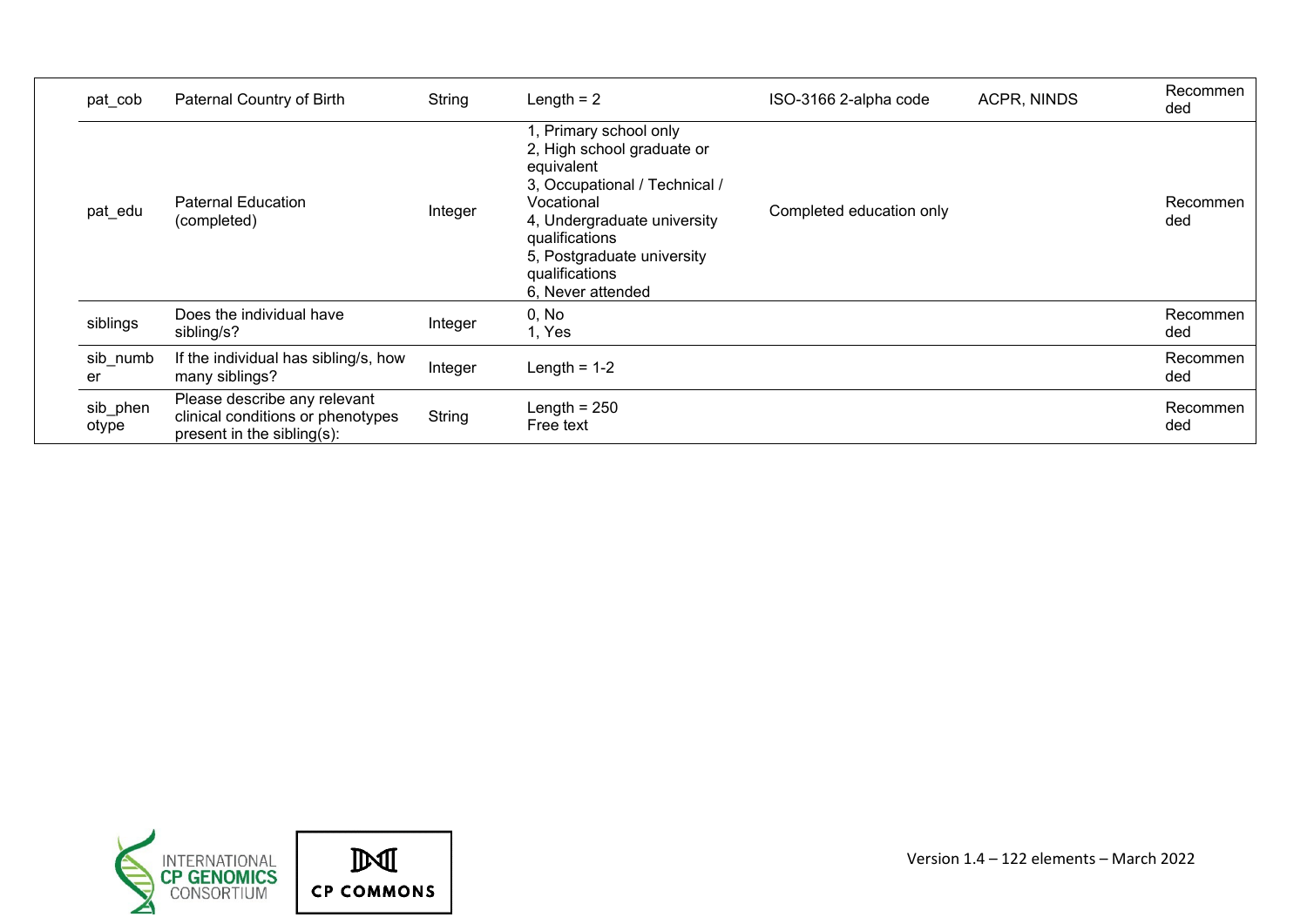| pat cob           | Paternal Country of Birth                                                                       | String  | Length $= 2$                                                                                                                                                                                                                            | ISO-3166 2-alpha code    | ACPR, NINDS | Recommen<br>ded |
|-------------------|-------------------------------------------------------------------------------------------------|---------|-----------------------------------------------------------------------------------------------------------------------------------------------------------------------------------------------------------------------------------------|--------------------------|-------------|-----------------|
| pat_edu           | <b>Paternal Education</b><br>(completed)                                                        | Integer | 1, Primary school only<br>2, High school graduate or<br>equivalent<br>3, Occupational / Technical /<br>Vocational<br>4, Undergraduate university<br>qualifications<br>5, Postgraduate university<br>qualifications<br>6, Never attended | Completed education only |             | Recommen<br>ded |
| siblings          | Does the individual have<br>sibling/s?                                                          | Integer | 0, No<br>1, Yes                                                                                                                                                                                                                         |                          |             | Recommen<br>ded |
| sib_numb<br>er    | If the individual has sibling/s, how<br>many siblings?                                          | Integer | Length = $1-2$                                                                                                                                                                                                                          |                          |             | Recommen<br>ded |
| sib_phen<br>otype | Please describe any relevant<br>clinical conditions or phenotypes<br>present in the sibling(s): | String  | Length = $250$<br>Free text                                                                                                                                                                                                             |                          |             | Recommen<br>ded |

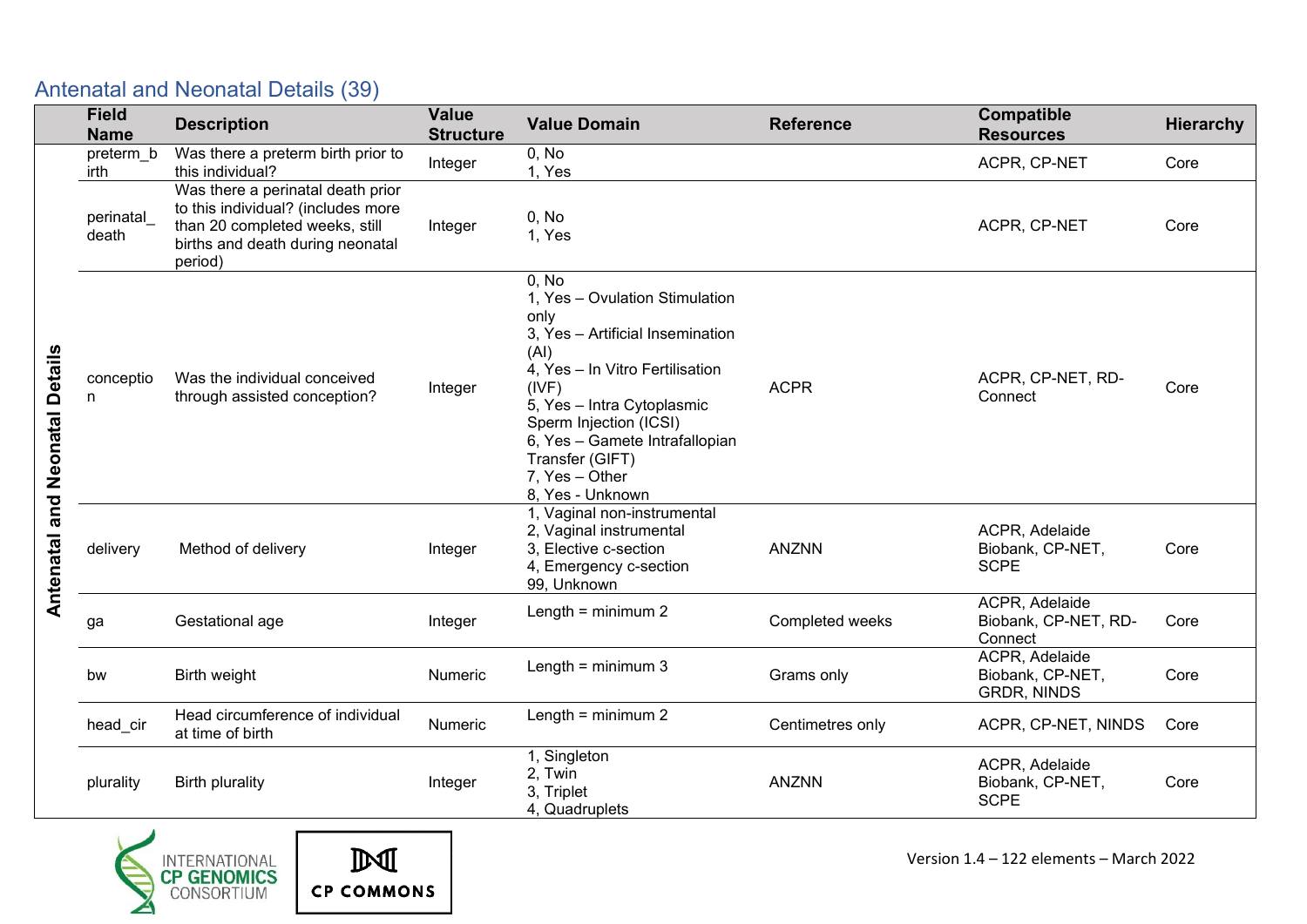|                      | <b>Field</b><br><b>Name</b> | <b>Description</b>                                                                                                                                       | <b>Value</b><br><b>Structure</b> | <b>Value Domain</b>                                                                                                                                                                                                                                                                        | <b>Reference</b> | Compatible<br><b>Resources</b>                           | <b>Hierarchy</b> |
|----------------------|-----------------------------|----------------------------------------------------------------------------------------------------------------------------------------------------------|----------------------------------|--------------------------------------------------------------------------------------------------------------------------------------------------------------------------------------------------------------------------------------------------------------------------------------------|------------------|----------------------------------------------------------|------------------|
|                      | preterm_b<br>irth           | Was there a preterm birth prior to<br>this individual?                                                                                                   | Integer                          | 0, No<br>1, Yes                                                                                                                                                                                                                                                                            |                  | ACPR, CP-NET                                             | Core             |
|                      | perinatal<br>death          | Was there a perinatal death prior<br>to this individual? (includes more<br>than 20 completed weeks, still<br>births and death during neonatal<br>period) | Integer                          | 0, No<br>1, Yes                                                                                                                                                                                                                                                                            |                  | ACPR, CP-NET                                             | Core             |
| and Neonatal Details | conceptio<br>n.             | Was the individual conceived<br>through assisted conception?                                                                                             | Integer                          | 0, No<br>1, Yes - Ovulation Stimulation<br>only<br>3, Yes - Artificial Insemination<br>(AI)<br>4, Yes - In Vitro Fertilisation<br>(IVF)<br>5, Yes - Intra Cytoplasmic<br>Sperm Injection (ICSI)<br>6, Yes - Gamete Intrafallopian<br>Transfer (GIFT)<br>7. Yes - Other<br>8, Yes - Unknown | <b>ACPR</b>      | ACPR, CP-NET, RD-<br>Connect                             | Core             |
| <b>Antenatal</b>     | delivery                    | Method of delivery                                                                                                                                       | Integer                          | 1, Vaginal non-instrumental<br>2, Vaginal instrumental<br>3. Elective c-section<br>4, Emergency c-section<br>99, Unknown                                                                                                                                                                   | <b>ANZNN</b>     | ACPR, Adelaide<br>Biobank, CP-NET,<br><b>SCPE</b>        | Core             |
|                      | ga                          | Gestational age                                                                                                                                          | Integer                          | Length = $minimum 2$                                                                                                                                                                                                                                                                       | Completed weeks  | ACPR, Adelaide<br>Biobank, CP-NET, RD-<br>Connect        | Core             |
|                      | bw                          | Birth weight                                                                                                                                             | <b>Numeric</b>                   | Length = $minimum3$                                                                                                                                                                                                                                                                        | Grams only       | ACPR, Adelaide<br>Biobank, CP-NET,<br><b>GRDR, NINDS</b> | Core             |
|                      | head_cir                    | Head circumference of individual<br>at time of birth                                                                                                     | Numeric                          | Length = $minimum 2$                                                                                                                                                                                                                                                                       | Centimetres only | ACPR, CP-NET, NINDS                                      | Core             |
|                      | plurality                   | <b>Birth plurality</b>                                                                                                                                   | Integer                          | 1, Singleton<br>2, Twin<br>3, Triplet<br>4, Quadruplets                                                                                                                                                                                                                                    | <b>ANZNN</b>     | ACPR, Adelaide<br>Biobank, CP-NET,<br><b>SCPE</b>        | Core             |

<span id="page-10-0"></span>

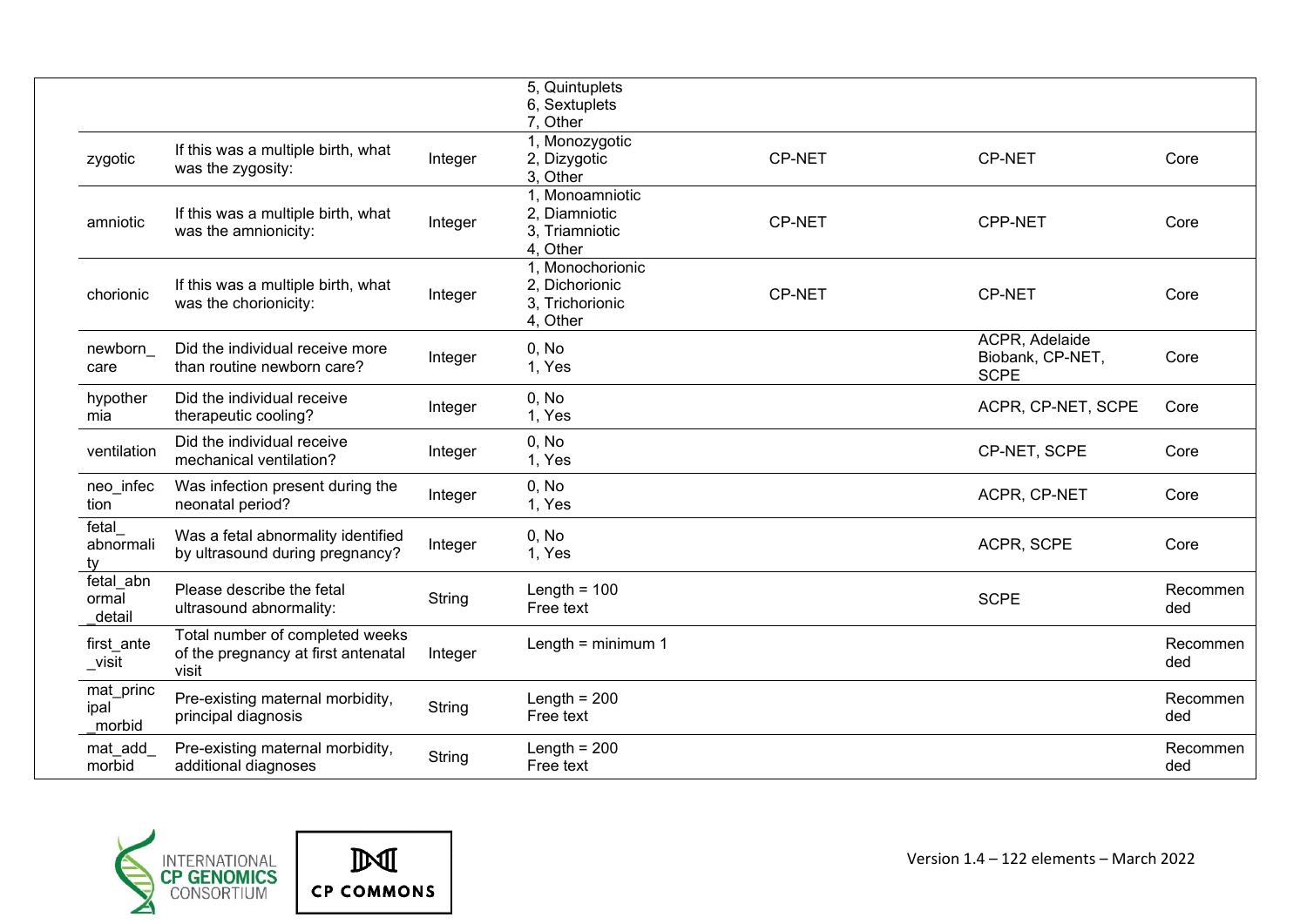|                              |                                                                                 |         | 5, Quintuplets<br>6, Sextuplets<br>7. Other                       |        |                                                   |                 |
|------------------------------|---------------------------------------------------------------------------------|---------|-------------------------------------------------------------------|--------|---------------------------------------------------|-----------------|
| zygotic                      | If this was a multiple birth, what<br>was the zygosity:                         | Integer | 1, Monozygotic<br>2, Dizygotic<br>3, Other                        | CP-NET | <b>CP-NET</b>                                     | Core            |
| amniotic                     | If this was a multiple birth, what<br>was the amnionicity:                      | Integer | 1, Monoamniotic<br>2. Diamniotic<br>3. Triamniotic<br>4. Other    | CP-NET | <b>CPP-NET</b>                                    | Core            |
| chorionic                    | If this was a multiple birth, what<br>was the chorionicity:                     | Integer | 1. Monochorionic<br>2. Dichorionic<br>3. Trichorionic<br>4, Other | CP-NET | <b>CP-NET</b>                                     | Core            |
| newborn<br>care              | Did the individual receive more<br>than routine newborn care?                   | Integer | 0. No<br>1, Yes                                                   |        | ACPR, Adelaide<br>Biobank, CP-NET,<br><b>SCPE</b> | Core            |
| hypother<br>mia              | Did the individual receive<br>therapeutic cooling?                              | Integer | 0. No<br>1, Yes                                                   |        | ACPR, CP-NET, SCPE                                | Core            |
| ventilation                  | Did the individual receive<br>mechanical ventilation?                           | Integer | 0, No<br>1, Yes                                                   |        | CP-NET, SCPE                                      | Core            |
| neo_infec<br>tion            | Was infection present during the<br>neonatal period?                            | Integer | 0, No<br>1, Yes                                                   |        | ACPR, CP-NET                                      | Core            |
| fetal<br>abnormali<br>ty     | Was a fetal abnormality identified<br>by ultrasound during pregnancy?           | Integer | 0, No<br>1, Yes                                                   |        | ACPR, SCPE                                        | Core            |
| fetal abn<br>ormal<br>detail | Please describe the fetal<br>ultrasound abnormality:                            | String  | Length = $100$<br>Free text                                       |        | <b>SCPE</b>                                       | Recommen<br>ded |
| first ante<br>_visit         | Total number of completed weeks<br>of the pregnancy at first antenatal<br>visit | Integer | Length = $minimum 1$                                              |        |                                                   | Recommen<br>ded |
| mat_princ<br>ipal<br>morbid  | Pre-existing maternal morbidity,<br>principal diagnosis                         | String  | Length = $200$<br>Free text                                       |        |                                                   | Recommen<br>ded |
| mat_add<br>morbid            | Pre-existing maternal morbidity,<br>additional diagnoses                        | String  | Length = $200$<br>Free text                                       |        |                                                   | Recommen<br>ded |



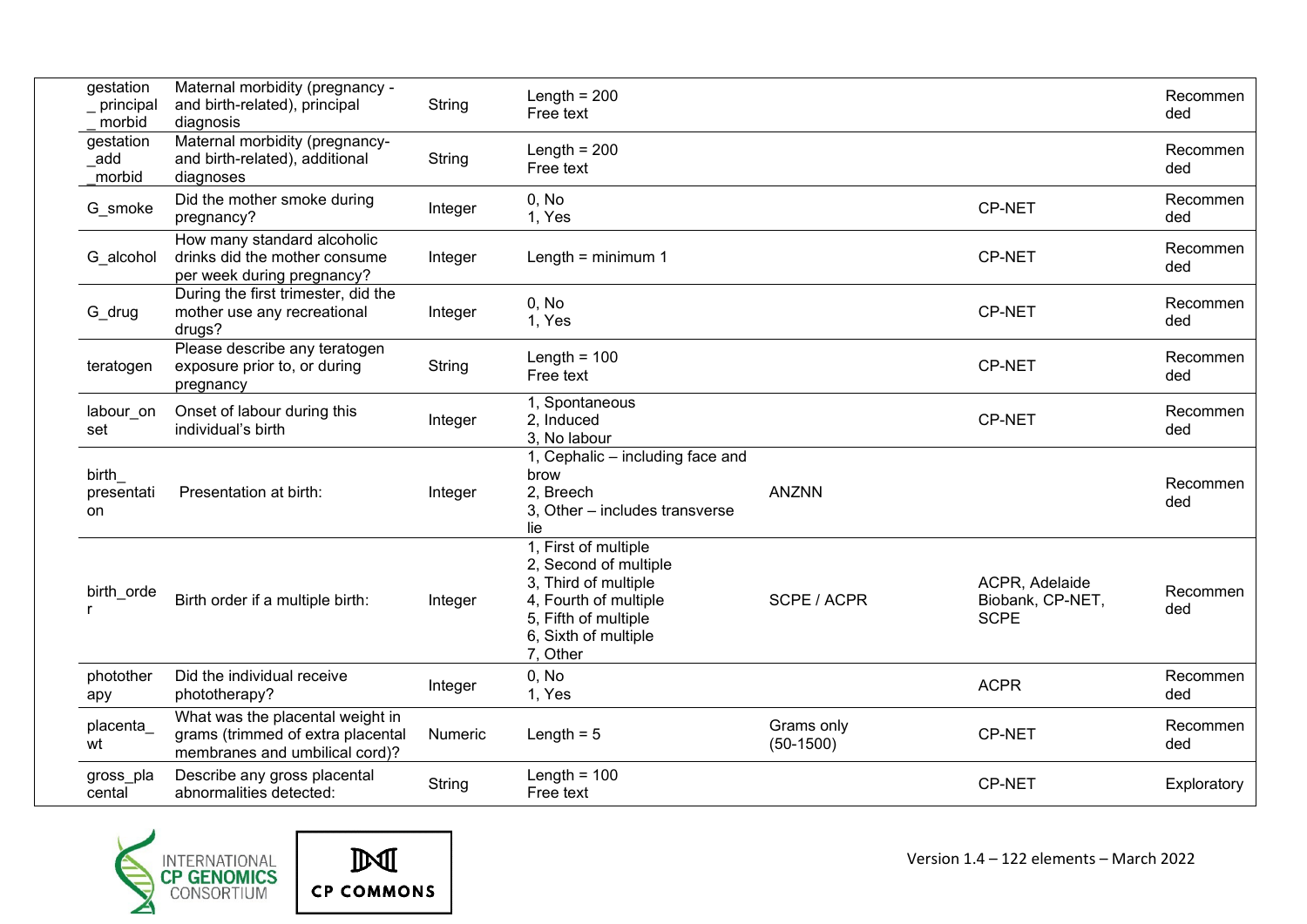| gestation<br>_ principal<br>morbid | Maternal morbidity (pregnancy -<br>and birth-related), principal<br>diagnosis                           | String        | Length = $200$<br>Free text                                                                                                                                |                           |                                                   | Recommen<br>ded |
|------------------------------------|---------------------------------------------------------------------------------------------------------|---------------|------------------------------------------------------------------------------------------------------------------------------------------------------------|---------------------------|---------------------------------------------------|-----------------|
| gestation<br>add<br>morbid         | Maternal morbidity (pregnancy-<br>and birth-related), additional<br>diagnoses                           | <b>String</b> | Length = $200$<br>Free text                                                                                                                                |                           |                                                   | Recommen<br>ded |
| G_smoke                            | Did the mother smoke during<br>pregnancy?                                                               | Integer       | 0, No<br>1, Yes                                                                                                                                            |                           | <b>CP-NET</b>                                     | Recommen<br>ded |
| G_alcohol                          | How many standard alcoholic<br>drinks did the mother consume<br>per week during pregnancy?              | Integer       | Length = $minimum 1$                                                                                                                                       |                           | <b>CP-NET</b>                                     | Recommen<br>ded |
| G_drug                             | During the first trimester, did the<br>mother use any recreational<br>drugs?                            | Integer       | 0, No<br>1, Yes                                                                                                                                            |                           | <b>CP-NET</b>                                     | Recommen<br>ded |
| teratogen                          | Please describe any teratogen<br>exposure prior to, or during<br>pregnancy                              | String        | Length = $100$<br>Free text                                                                                                                                |                           | <b>CP-NET</b>                                     | Recommen<br>ded |
| labour_on<br>set                   | Onset of labour during this<br>individual's birth                                                       | Integer       | 1, Spontaneous<br>2. Induced<br>3, No labour                                                                                                               |                           | <b>CP-NET</b>                                     | Recommen<br>ded |
| birth<br>presentati<br>on          | Presentation at birth:                                                                                  | Integer       | 1, Cephalic - including face and<br>brow<br>2, Breech<br>3, Other - includes transverse<br>lie                                                             | <b>ANZNN</b>              |                                                   | Recommen<br>ded |
| birth_orde                         | Birth order if a multiple birth:                                                                        | Integer       | 1, First of multiple<br>2, Second of multiple<br>3, Third of multiple<br>4, Fourth of multiple<br>5, Fifth of multiple<br>6, Sixth of multiple<br>7, Other | SCPE / ACPR               | ACPR, Adelaide<br>Biobank, CP-NET,<br><b>SCPE</b> | Recommen<br>ded |
| photother<br>apy                   | Did the individual receive<br>phototherapy?                                                             | Integer       | 0, No<br>1, Yes                                                                                                                                            |                           | <b>ACPR</b>                                       | Recommen<br>ded |
| placenta_<br>wt                    | What was the placental weight in<br>grams (trimmed of extra placental<br>membranes and umbilical cord)? | Numeric       | Length $= 5$                                                                                                                                               | Grams only<br>$(50-1500)$ | <b>CP-NET</b>                                     | Recommen<br>ded |
| gross_pla<br>cental                | Describe any gross placental<br>abnormalities detected:                                                 | String        | Length = $100$<br>Free text                                                                                                                                |                           | <b>CP-NET</b>                                     | Exploratory     |



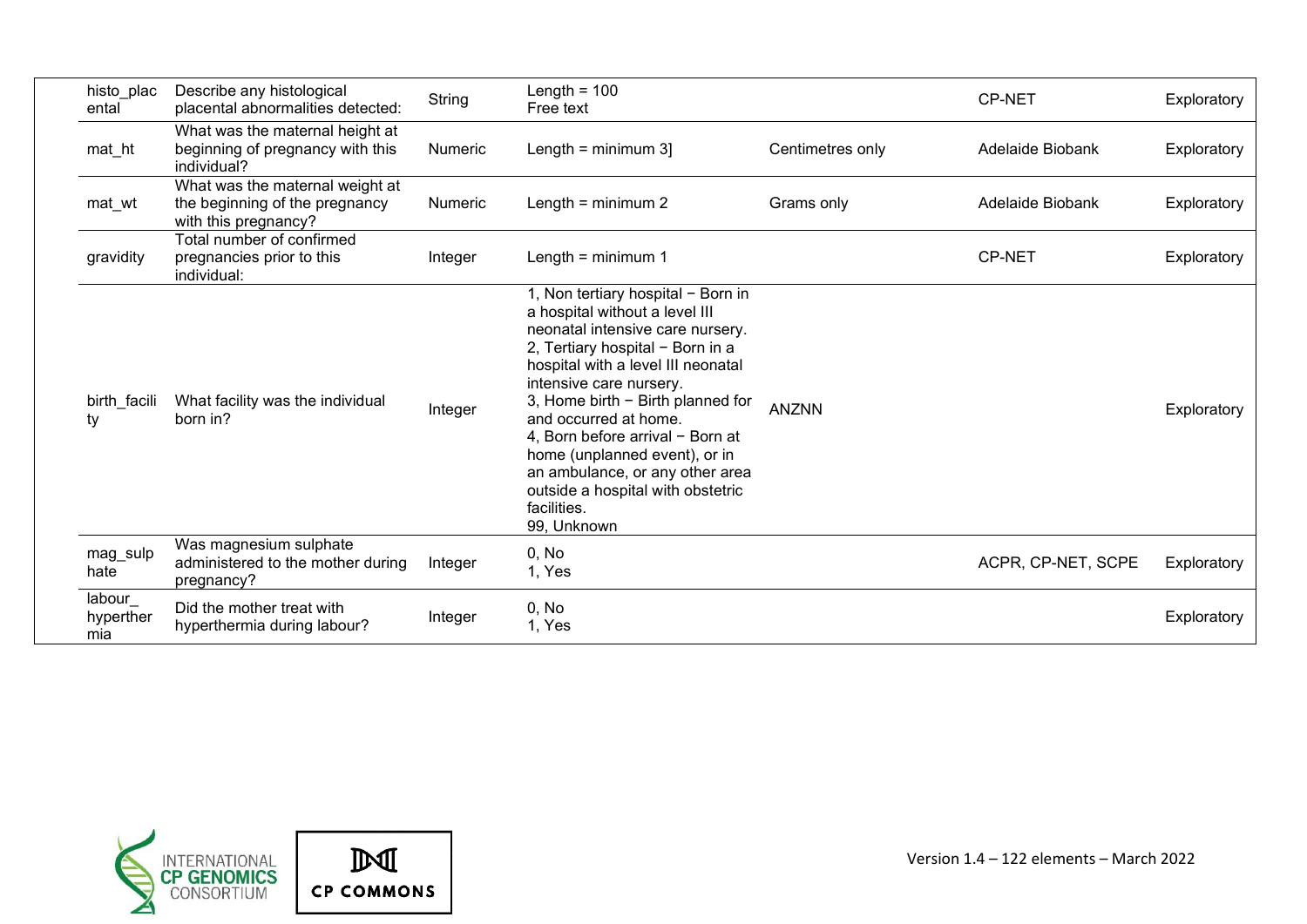| histo plac<br>ental        | Describe any histological<br>placental abnormalities detected:                            | String  | Length = $100$<br>Free text                                                                                                                                                                                                                                                                                                                                                                                                                            |                  | CP-NET             | Exploratory |
|----------------------------|-------------------------------------------------------------------------------------------|---------|--------------------------------------------------------------------------------------------------------------------------------------------------------------------------------------------------------------------------------------------------------------------------------------------------------------------------------------------------------------------------------------------------------------------------------------------------------|------------------|--------------------|-------------|
| mat_ht                     | What was the maternal height at<br>beginning of pregnancy with this<br>individual?        | Numeric | Length = $minimum 3$ ]                                                                                                                                                                                                                                                                                                                                                                                                                                 | Centimetres only | Adelaide Biobank   | Exploratory |
| mat_wt                     | What was the maternal weight at<br>the beginning of the pregnancy<br>with this pregnancy? | Numeric | Length = $minimum 2$<br>Grams only<br>Adelaide Biobank                                                                                                                                                                                                                                                                                                                                                                                                 |                  | Exploratory        |             |
| gravidity                  | Total number of confirmed<br>pregnancies prior to this<br>individual:                     | Integer | Length = $minimum 1$                                                                                                                                                                                                                                                                                                                                                                                                                                   |                  | <b>CP-NET</b>      | Exploratory |
| birth facili<br>ty         | What facility was the individual<br>born in?                                              | Integer | 1, Non tertiary hospital - Born in<br>a hospital without a level III<br>neonatal intensive care nursery.<br>2, Tertiary hospital - Born in a<br>hospital with a level III neonatal<br>intensive care nursery.<br>3, Home birth - Birth planned for<br>and occurred at home.<br>4, Born before arrival - Born at<br>home (unplanned event), or in<br>an ambulance, or any other area<br>outside a hospital with obstetric<br>facilities.<br>99, Unknown | <b>ANZNN</b>     |                    | Exploratory |
| mag_sulp<br>hate           | Was magnesium sulphate<br>administered to the mother during<br>pregnancy?                 | Integer | 0, No<br>1, Yes                                                                                                                                                                                                                                                                                                                                                                                                                                        |                  | ACPR, CP-NET, SCPE | Exploratory |
| labour<br>hyperther<br>mia | Did the mother treat with<br>hyperthermia during labour?                                  | Integer | 0, No<br>1, Yes                                                                                                                                                                                                                                                                                                                                                                                                                                        |                  |                    | Exploratory |

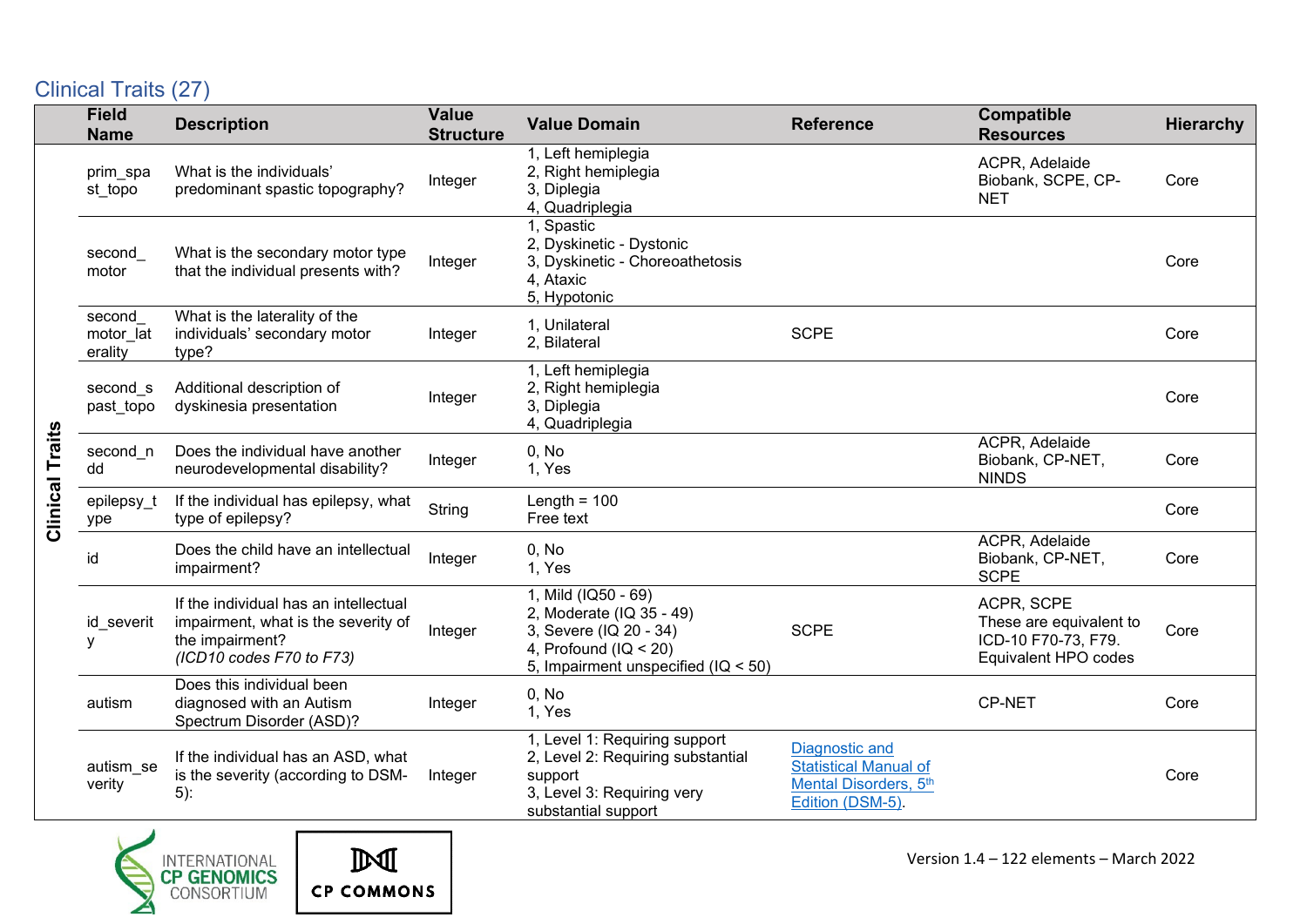# <span id="page-14-0"></span>Clinical Traits (27)

|                        | <b>Field</b><br><b>Name</b>    | <b>Description</b>                                                                                                          | <b>Value</b><br><b>Structure</b> | <b>Value Domain</b>                                                                                                                           | <b>Reference</b>                                                                            | Compatible<br><b>Resources</b>                                                       | <b>Hierarchy</b> |
|------------------------|--------------------------------|-----------------------------------------------------------------------------------------------------------------------------|----------------------------------|-----------------------------------------------------------------------------------------------------------------------------------------------|---------------------------------------------------------------------------------------------|--------------------------------------------------------------------------------------|------------------|
|                        | prim_spa<br>st_topo            | What is the individuals'<br>predominant spastic topography?                                                                 | Integer                          | 1, Left hemiplegia<br>2, Right hemiplegia<br>3, Diplegia<br>4, Quadriplegia                                                                   |                                                                                             | ACPR, Adelaide<br>Biobank, SCPE, CP-<br><b>NET</b>                                   | Core             |
|                        | second<br>motor                | What is the secondary motor type<br>that the individual presents with?                                                      | Integer                          | 1, Spastic<br>2, Dyskinetic - Dystonic<br>3, Dyskinetic - Choreoathetosis<br>4, Ataxic<br>5, Hypotonic                                        |                                                                                             |                                                                                      | Core             |
|                        | second<br>motor lat<br>erality | What is the laterality of the<br>individuals' secondary motor<br>type?                                                      | Integer                          | 1, Unilateral<br>2, Bilateral                                                                                                                 | <b>SCPE</b>                                                                                 |                                                                                      | Core             |
|                        | second s<br>past_topo          | Additional description of<br>dyskinesia presentation                                                                        | Integer                          | 1, Left hemiplegia<br>2, Right hemiplegia<br>3, Diplegia<br>4, Quadriplegia                                                                   |                                                                                             |                                                                                      | Core             |
| <b>Clinical Traits</b> | second_n<br>dd                 | Does the individual have another<br>neurodevelopmental disability?                                                          | Integer                          | 0, No<br>1, Yes                                                                                                                               |                                                                                             | ACPR, Adelaide<br>Biobank, CP-NET,<br><b>NINDS</b>                                   | Core             |
|                        | epilepsy_t<br>ype              | If the individual has epilepsy, what<br>type of epilepsy?                                                                   | String                           | Length = $100$<br>Free text                                                                                                                   |                                                                                             |                                                                                      | Core             |
|                        | id                             | Does the child have an intellectual<br>impairment?                                                                          | Integer                          | 0, No<br>1, Yes                                                                                                                               |                                                                                             | ACPR, Adelaide<br>Biobank, CP-NET,<br><b>SCPE</b>                                    | Core             |
|                        | id severit<br>٧                | If the individual has an intellectual<br>impairment, what is the severity of<br>the impairment?<br>(ICD10 codes F70 to F73) | Integer                          | 1, Mild (IQ50 - 69)<br>2, Moderate (IQ 35 - 49)<br>3, Severe (IQ 20 - 34)<br>4, Profound ( $IQ < 20$ )<br>5, Impairment unspecified (IQ < 50) | <b>SCPE</b>                                                                                 | ACPR, SCPE<br>These are equivalent to<br>ICD-10 F70-73, F79.<br>Equivalent HPO codes | Core             |
|                        | autism                         | Does this individual been<br>diagnosed with an Autism<br>Spectrum Disorder (ASD)?                                           | Integer                          | 0, No<br>1, Yes                                                                                                                               |                                                                                             | CP-NET                                                                               | Core             |
|                        | autism_se<br>verity            | If the individual has an ASD, what<br>is the severity (according to DSM-<br>$5)$ :                                          | Integer                          | 1, Level 1: Requiring support<br>2, Level 2: Requiring substantial<br>support<br>3, Level 3: Requiring very<br>substantial support            | Diagnostic and<br><b>Statistical Manual of</b><br>Mental Disorders, 5th<br>Edition (DSM-5). |                                                                                      | Core             |

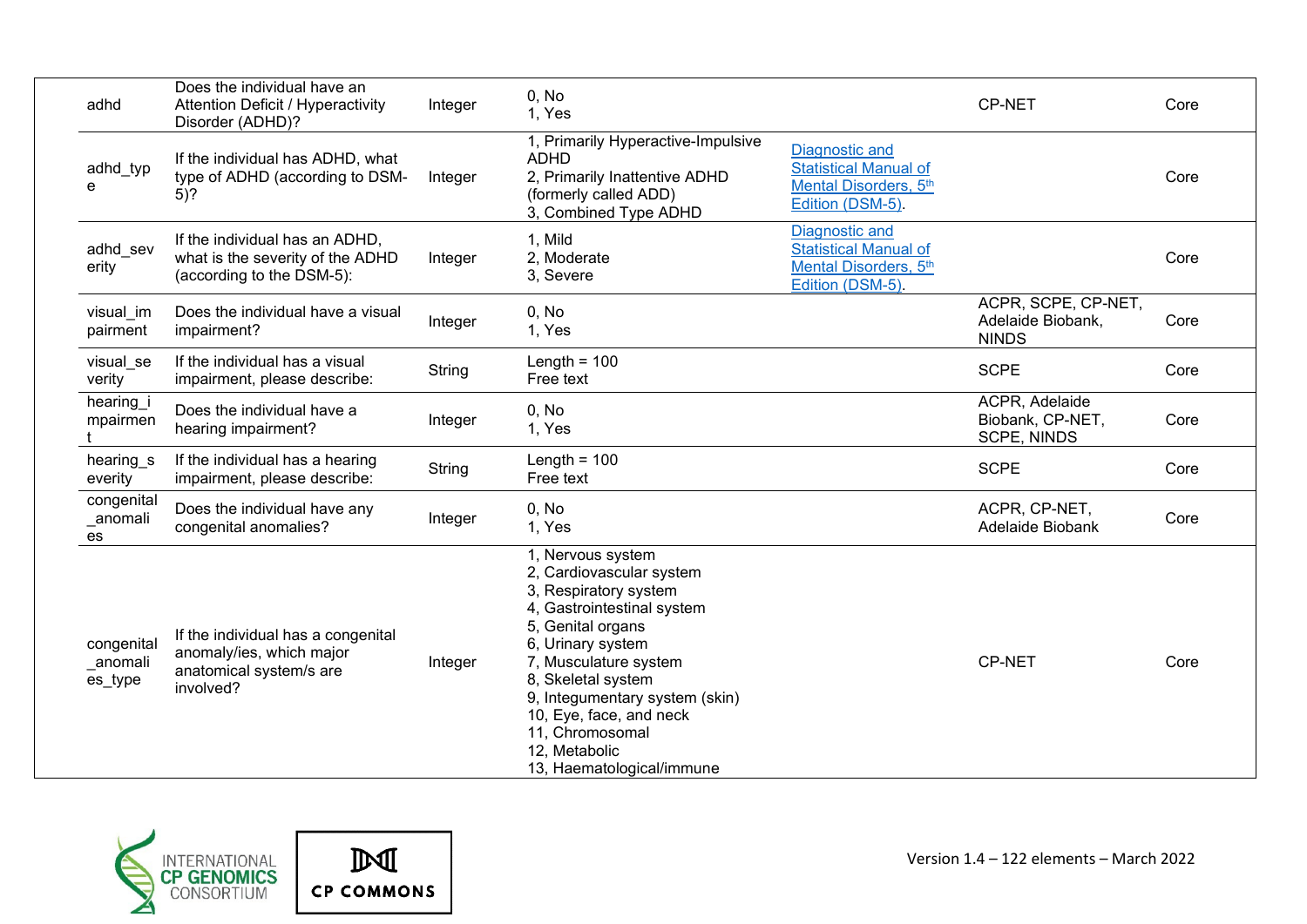| adhd                              | Does the individual have an<br><b>Attention Deficit / Hyperactivity</b><br>Disorder (ADHD)?            | Integer | 0, No<br>1, Yes                                                                                                                                                                                                                                                                                                             |                                                                                                    | <b>CP-NET</b>                                            | Core |
|-----------------------------------|--------------------------------------------------------------------------------------------------------|---------|-----------------------------------------------------------------------------------------------------------------------------------------------------------------------------------------------------------------------------------------------------------------------------------------------------------------------------|----------------------------------------------------------------------------------------------------|----------------------------------------------------------|------|
| adhd_typ<br>e                     | If the individual has ADHD, what<br>type of ADHD (according to DSM-<br>$5)$ ?                          | Integer | 1, Primarily Hyperactive-Impulsive<br><b>ADHD</b><br>2, Primarily Inattentive ADHD<br>(formerly called ADD)<br>3, Combined Type ADHD                                                                                                                                                                                        | <b>Diagnostic and</b><br><b>Statistical Manual of</b><br>Mental Disorders, 5th<br>Edition (DSM-5). |                                                          | Core |
| adhd sev<br>erity                 | If the individual has an ADHD,<br>what is the severity of the ADHD<br>(according to the DSM-5):        | Integer | 1, Mild<br>2, Moderate<br>3, Severe                                                                                                                                                                                                                                                                                         | <b>Diagnostic and</b><br><b>Statistical Manual of</b><br>Mental Disorders, 5th<br>Edition (DSM-5). |                                                          | Core |
| visual_im<br>pairment             | Does the individual have a visual<br>impairment?                                                       | Integer | 0, No<br>1, Yes                                                                                                                                                                                                                                                                                                             |                                                                                                    | ACPR, SCPE, CP-NET,<br>Adelaide Biobank,<br><b>NINDS</b> | Core |
| visual se<br>verity               | If the individual has a visual<br>impairment, please describe:                                         | String  | Length = $100$<br>Free text                                                                                                                                                                                                                                                                                                 |                                                                                                    | <b>SCPE</b>                                              | Core |
| hearing i<br>mpairmen             | Does the individual have a<br>hearing impairment?                                                      | Integer | 0. No<br>1, Yes                                                                                                                                                                                                                                                                                                             |                                                                                                    | ACPR, Adelaide<br>Biobank, CP-NET,<br><b>SCPE, NINDS</b> | Core |
| hearing_s<br>everity              | If the individual has a hearing<br>impairment, please describe:                                        | String  | Length = $100$<br>Free text                                                                                                                                                                                                                                                                                                 |                                                                                                    | <b>SCPE</b>                                              | Core |
| congenital<br>_anomali<br>es      | Does the individual have any<br>congenital anomalies?                                                  | Integer | 0, No<br>1, Yes                                                                                                                                                                                                                                                                                                             |                                                                                                    | ACPR, CP-NET,<br>Adelaide Biobank                        | Core |
| congenital<br>_anomali<br>es_type | If the individual has a congenital<br>anomaly/ies, which major<br>anatomical system/s are<br>involved? | Integer | 1, Nervous system<br>2, Cardiovascular system<br>3, Respiratory system<br>4, Gastrointestinal system<br>5, Genital organs<br>6, Urinary system<br>7, Musculature system<br>8, Skeletal system<br>9, Integumentary system (skin)<br>10, Eye, face, and neck<br>11, Chromosomal<br>12, Metabolic<br>13, Haematological/immune |                                                                                                    | <b>CP-NET</b>                                            | Core |

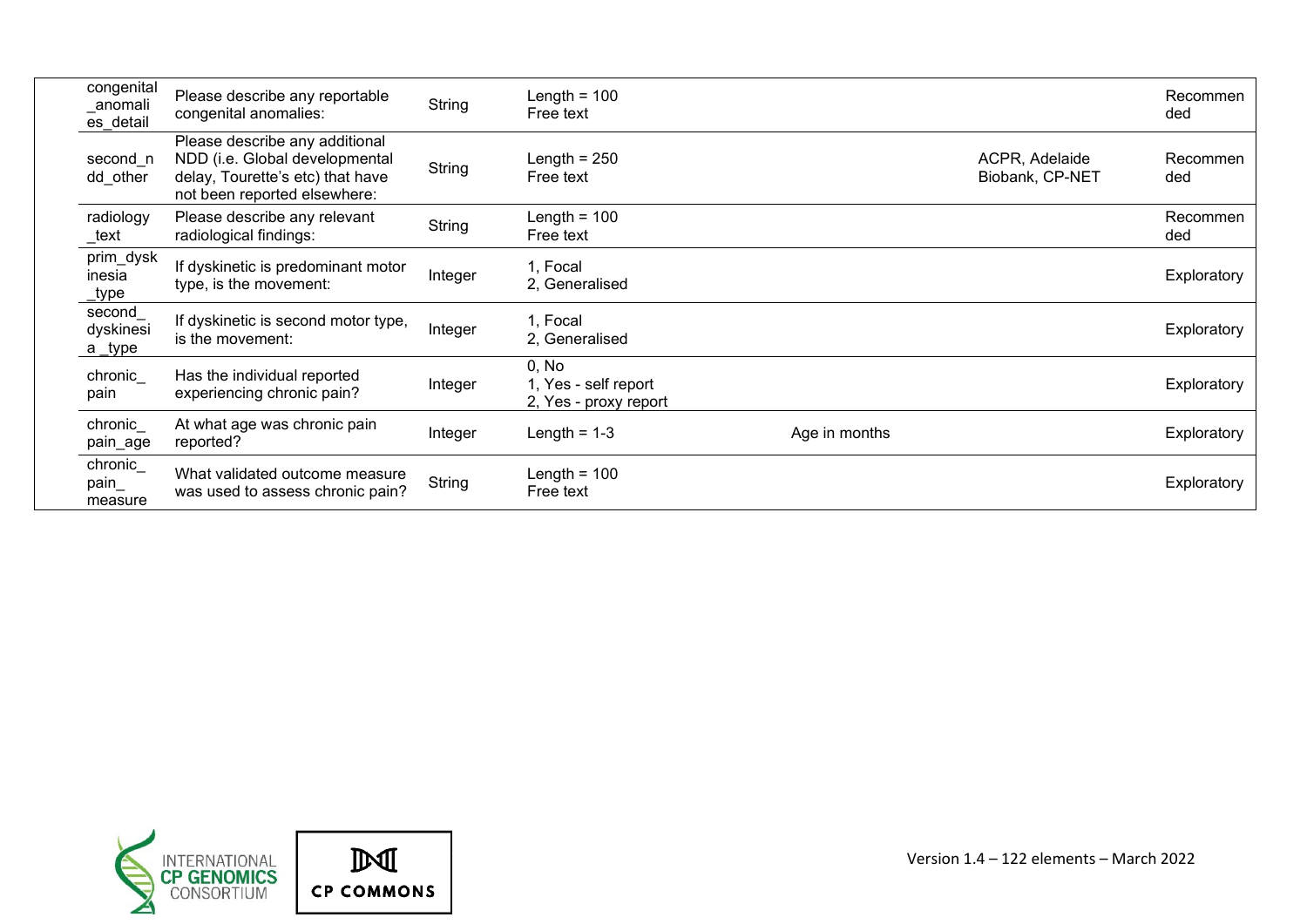| congenital<br>_anomali<br>es_detail | Please describe any reportable<br>congenital anomalies:                                                                              | String  | Length = $100$<br>Free text                            |               |                                   | Recommen<br>ded |
|-------------------------------------|--------------------------------------------------------------------------------------------------------------------------------------|---------|--------------------------------------------------------|---------------|-----------------------------------|-----------------|
| second n<br>dd other                | Please describe any additional<br>NDD (i.e. Global developmental<br>delay, Tourette's etc) that have<br>not been reported elsewhere: | String  | Length $= 250$<br>Free text                            |               | ACPR, Adelaide<br>Biobank, CP-NET | Recommen<br>ded |
| radiology<br>_text                  | Please describe any relevant<br>radiological findings:                                                                               | String  | Length = $100$<br>Free text                            |               |                                   | Recommen<br>ded |
| prim_dysk<br>inesia<br>type_        | If dyskinetic is predominant motor<br>type, is the movement:                                                                         | Integer | 1, Focal<br>2. Generalised                             |               |                                   | Exploratory     |
| second<br>dyskinesi<br>a type       | If dyskinetic is second motor type,<br>is the movement:                                                                              | Integer | 1, Focal<br>2, Generalised                             |               |                                   | Exploratory     |
| chronic<br>pain                     | Has the individual reported<br>experiencing chronic pain?                                                                            | Integer | 0, No<br>1, Yes - self report<br>2, Yes - proxy report |               |                                   | Exploratory     |
| chronic<br>pain_age                 | At what age was chronic pain<br>reported?                                                                                            | Integer | Length = $1-3$                                         | Age in months |                                   | Exploratory     |
| chronic_<br>pain<br>measure         | What validated outcome measure<br>was used to assess chronic pain?                                                                   | String  | Length = $100$<br>Free text                            |               |                                   | Exploratory     |

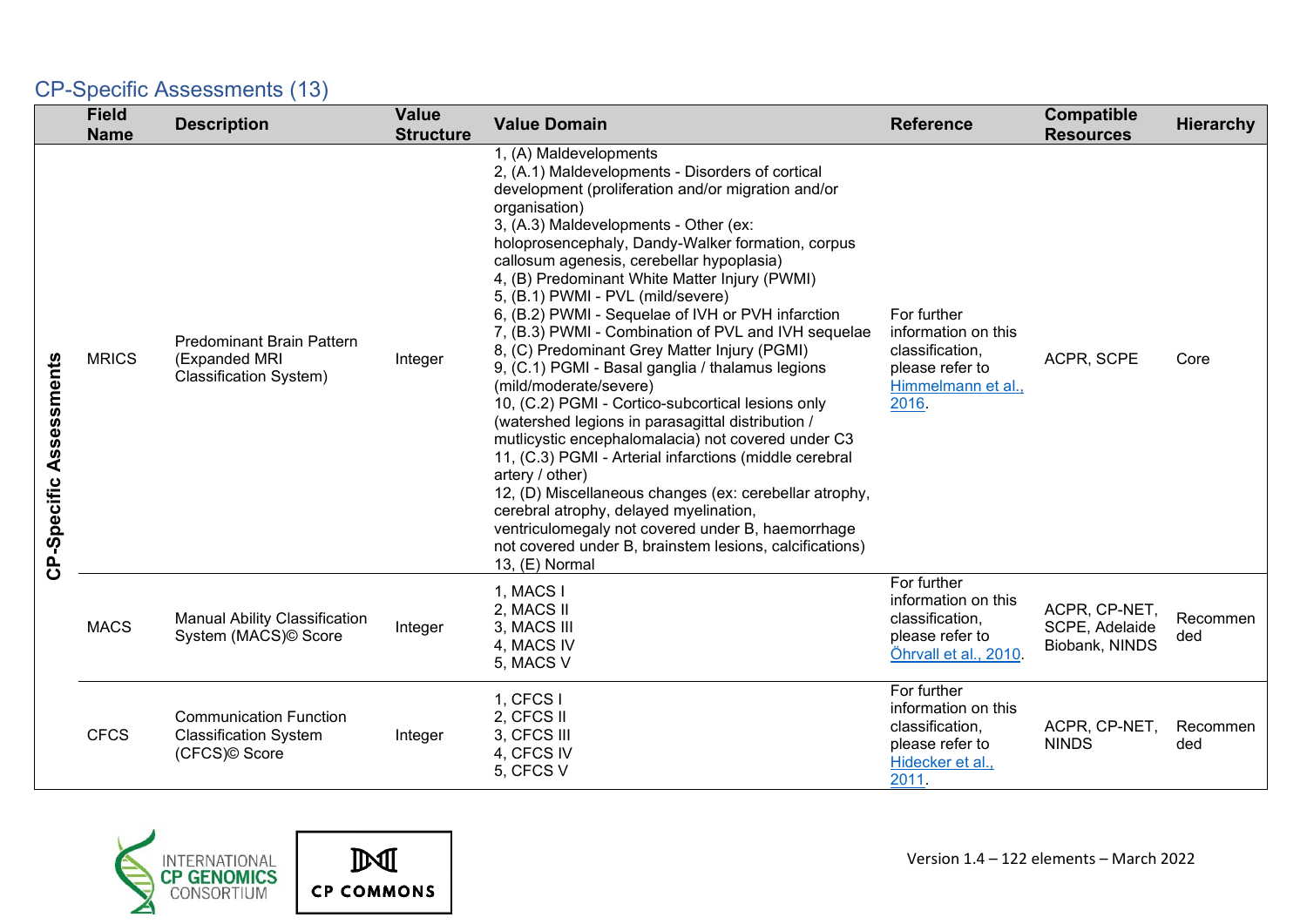# <span id="page-17-0"></span>CP-Specific Assessments (13)

|                         | <b>Field</b><br><b>Name</b> | <b>Description</b>                                                                 | <b>Value</b><br><b>Structure</b> | <b>Value Domain</b>                                                                                                                                                                                                                                                                                                                                                                                                                                                                                                                                                                                                                                                                                                                                                                                                                                                                                                                                                                                                                                                                                             | <b>Reference</b>                                                                                        | Compatible<br><b>Resources</b>                    | <b>Hierarchy</b> |
|-------------------------|-----------------------------|------------------------------------------------------------------------------------|----------------------------------|-----------------------------------------------------------------------------------------------------------------------------------------------------------------------------------------------------------------------------------------------------------------------------------------------------------------------------------------------------------------------------------------------------------------------------------------------------------------------------------------------------------------------------------------------------------------------------------------------------------------------------------------------------------------------------------------------------------------------------------------------------------------------------------------------------------------------------------------------------------------------------------------------------------------------------------------------------------------------------------------------------------------------------------------------------------------------------------------------------------------|---------------------------------------------------------------------------------------------------------|---------------------------------------------------|------------------|
| CP-Specific Assessments | <b>MRICS</b>                | <b>Predominant Brain Pattern</b><br>(Expanded MRI<br><b>Classification System)</b> | Integer                          | 1, (A) Maldevelopments<br>2, (A.1) Maldevelopments - Disorders of cortical<br>development (proliferation and/or migration and/or<br>organisation)<br>3, (A.3) Maldevelopments - Other (ex:<br>holoprosencephaly, Dandy-Walker formation, corpus<br>callosum agenesis, cerebellar hypoplasia)<br>4, (B) Predominant White Matter Injury (PWMI)<br>5, (B.1) PWMI - PVL (mild/severe)<br>6, (B.2) PWMI - Sequelae of IVH or PVH infarction<br>7, (B.3) PWMI - Combination of PVL and IVH sequelae<br>8, (C) Predominant Grey Matter Injury (PGMI)<br>9, (C.1) PGMI - Basal ganglia / thalamus legions<br>(mild/moderate/severe)<br>10, (C.2) PGMI - Cortico-subcortical lesions only<br>(watershed legions in parasagittal distribution /<br>mutlicystic encephalomalacia) not covered under C3<br>11, (C.3) PGMI - Arterial infarctions (middle cerebral<br>artery / other)<br>12, (D) Miscellaneous changes (ex: cerebellar atrophy,<br>cerebral atrophy, delayed myelination,<br>ventriculomegaly not covered under B, haemorrhage<br>not covered under B, brainstem lesions, calcifications)<br>13, (E) Normal | For further<br>information on this<br>classification,<br>please refer to<br>Himmelmann et al.,<br>2016. | ACPR, SCPE                                        | Core             |
|                         | <b>MACS</b>                 | <b>Manual Ability Classification</b><br>System (MACS)© Score                       | Integer                          | 1, MACS I<br>2, MACS II<br>3, MACS III<br>4, MACS IV<br>5, MACS V                                                                                                                                                                                                                                                                                                                                                                                                                                                                                                                                                                                                                                                                                                                                                                                                                                                                                                                                                                                                                                               | For further<br>information on this<br>classification,<br>please refer to<br>Öhrvall et al., 2010        | ACPR, CP-NET,<br>SCPE, Adelaide<br>Biobank, NINDS | Recommen<br>ded  |
|                         | <b>CFCS</b>                 | <b>Communication Function</b><br><b>Classification System</b><br>(CFCS)© Score     | Integer                          | 1, CFCS1<br>2, CFCS II<br>3, CFCS III<br>4, CFCS IV<br>5, CFCS V                                                                                                                                                                                                                                                                                                                                                                                                                                                                                                                                                                                                                                                                                                                                                                                                                                                                                                                                                                                                                                                | For further<br>information on this<br>classification,<br>please refer to<br>Hidecker et al.,<br>2011.   | ACPR, CP-NET,<br><b>NINDS</b>                     | Recommen<br>ded  |



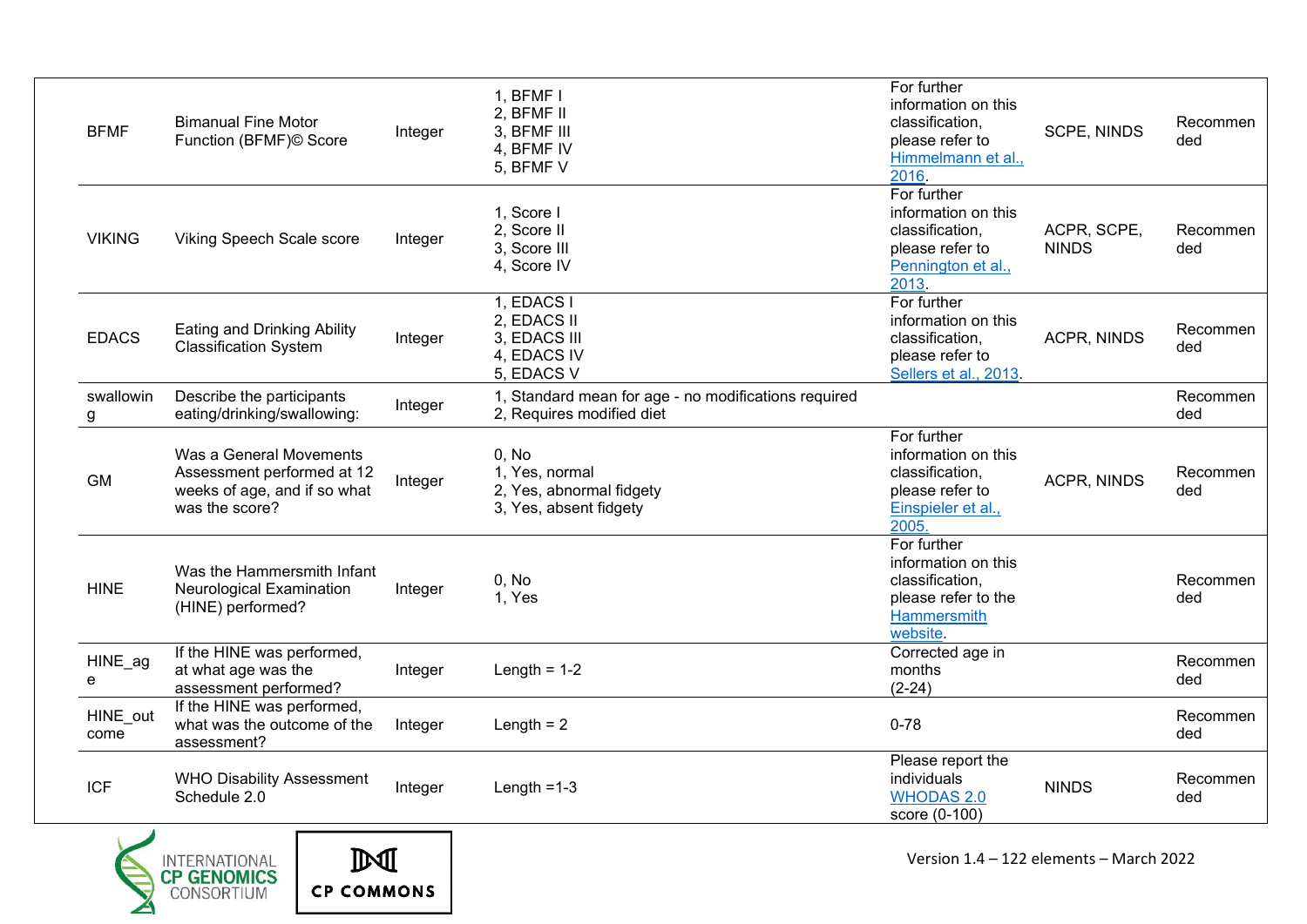| <b>BFMF</b>      | <b>Bimanual Fine Motor</b><br>Function (BFMF)© Score                                                    | Integer | 1, BFMF I<br>2, BFMF II<br>3, BFMF III<br>4, BFMF IV<br>5, BFMF V                 | For further<br>information on this<br>classification,<br>please refer to<br>Himmelmann et al.,<br>2016. | <b>SCPE, NINDS</b>          | Recommen<br>ded |
|------------------|---------------------------------------------------------------------------------------------------------|---------|-----------------------------------------------------------------------------------|---------------------------------------------------------------------------------------------------------|-----------------------------|-----------------|
| <b>VIKING</b>    | Viking Speech Scale score                                                                               | Integer | 1, Score I<br>2. Score II<br>3, Score III<br>4, Score IV                          | For further<br>information on this<br>classification,<br>please refer to<br>Pennington et al.,<br>2013. | ACPR, SCPE,<br><b>NINDS</b> | Recommen<br>ded |
| <b>EDACS</b>     | Eating and Drinking Ability<br><b>Classification System</b>                                             | Integer | 1, EDACS I<br>2, EDACS II<br>3, EDACS III<br>4, EDACS IV<br>5, EDACS V            | For further<br>information on this<br>classification,<br>please refer to<br>Sellers et al., 2013.       | ACPR, NINDS                 | Recommen<br>ded |
| swallowin<br>g   | Describe the participants<br>eating/drinking/swallowing:                                                | Integer | 1, Standard mean for age - no modifications required<br>2, Requires modified diet |                                                                                                         |                             | Recommen<br>ded |
| <b>GM</b>        | Was a General Movements<br>Assessment performed at 12<br>weeks of age, and if so what<br>was the score? | Integer | 0. No<br>1, Yes, normal<br>2, Yes, abnormal fidgety<br>3, Yes, absent fidgety     | For further<br>information on this<br>classification,<br>please refer to<br>Einspieler et al.,<br>2005  | ACPR, NINDS                 | Recommen<br>ded |
| <b>HINE</b>      | Was the Hammersmith Infant<br><b>Neurological Examination</b><br>(HINE) performed?                      | Integer | 0, No<br>1, Yes                                                                   | For further<br>information on this<br>classification,<br>please refer to the<br>Hammersmith<br>website. |                             | Recommen<br>ded |
| HINE_ag<br>e     | If the HINE was performed,<br>at what age was the<br>assessment performed?                              | Integer | Length = $1-2$                                                                    | Corrected age in<br>months<br>$(2-24)$                                                                  |                             | Recommen<br>ded |
| HINE out<br>come | If the HINE was performed,<br>what was the outcome of the<br>assessment?                                | Integer | Length $= 2$                                                                      | $0 - 78$                                                                                                |                             | Recommen<br>ded |
| <b>ICF</b>       | <b>WHO Disability Assessment</b><br>Schedule 2.0                                                        | Integer | Length $=1-3$                                                                     | Please report the<br>individuals<br><b>WHODAS 2.0</b><br>score (0-100)                                  | <b>NINDS</b>                | Recommen<br>ded |



 $\mathbb{M}$ 

**CP COMMONS**